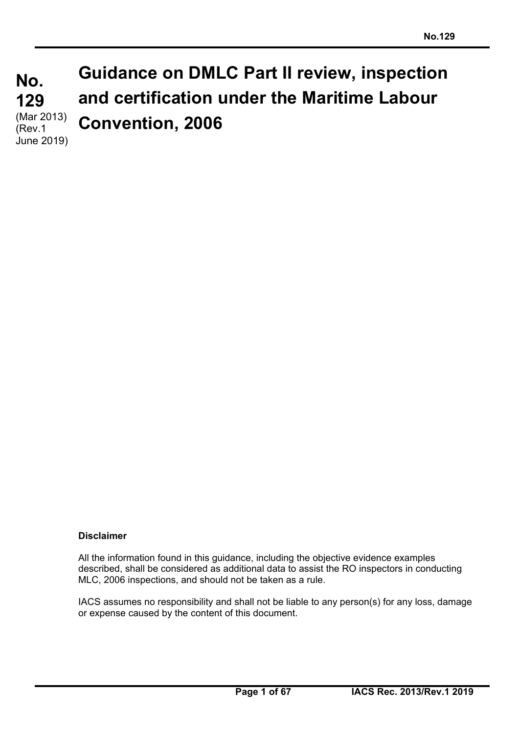**No. No. 129 129**  (Mar 2013) **Guidance on DMLC Part II review, inspection and certification under the Maritime Labour Convention, 2006**  (Rev.1 June 2019)

## **Disclaimer**

All the information found in this guidance, including the objective evidence examples described, shall be considered as additional data to assist the RO inspectors in conducting MLC, 2006 inspections, and should not be taken as a rule.

IACS assumes no responsibility and shall not be liable to any person(s) for any loss, damage or expense caused by the content of this document.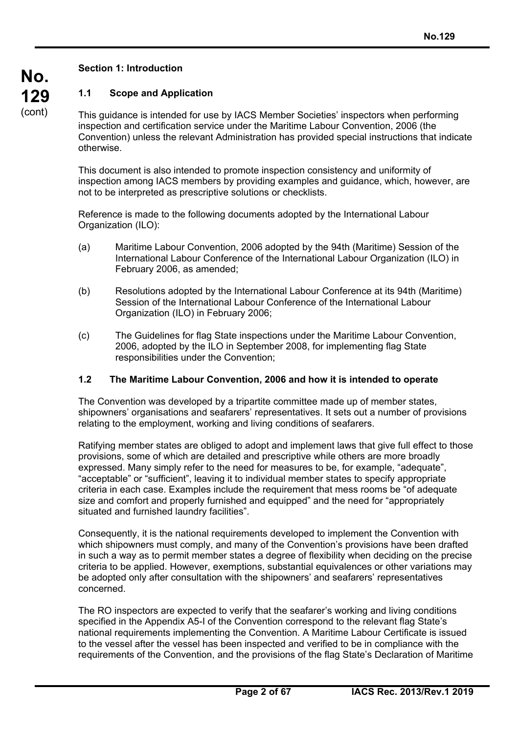# **No. 129**  (cont)

# **Section 1: Introduction**

# **1.1 Scope and Application**

This guidance is intended for use by IACS Member Societies' inspectors when performing inspection and certification service under the Maritime Labour Convention, 2006 (the Convention) unless the relevant Administration has provided special instructions that indicate otherwise.

This document is also intended to promote inspection consistency and uniformity of inspection among IACS members by providing examples and guidance, which, however, are not to be interpreted as prescriptive solutions or checklists.

Reference is made to the following documents adopted by the International Labour Organization (ILO):

- (a) Maritime Labour Convention, 2006 adopted by the 94th (Maritime) Session of the International Labour Conference of the International Labour Organization (ILO) in February 2006, as amended;
- (b) Resolutions adopted by the International Labour Conference at its 94th (Maritime) Session of the International Labour Conference of the International Labour Organization (ILO) in February 2006;
- (c) The Guidelines for flag State inspections under the Maritime Labour Convention, 2006, adopted by the ILO in September 2008, for implementing flag State responsibilities under the Convention;

## **1.2 The Maritime Labour Convention, 2006 and how it is intended to operate**

The Convention was developed by a tripartite committee made up of member states, shipowners' organisations and seafarers' representatives. It sets out a number of provisions relating to the employment, working and living conditions of seafarers.

Ratifying member states are obliged to adopt and implement laws that give full effect to those provisions, some of which are detailed and prescriptive while others are more broadly expressed. Many simply refer to the need for measures to be, for example, "adequate", "acceptable" or "sufficient", leaving it to individual member states to specify appropriate criteria in each case. Examples include the requirement that mess rooms be "of adequate size and comfort and properly furnished and equipped" and the need for "appropriately situated and furnished laundry facilities".

Consequently, it is the national requirements developed to implement the Convention with which shipowners must comply, and many of the Convention's provisions have been drafted in such a way as to permit member states a degree of flexibility when deciding on the precise criteria to be applied. However, exemptions, substantial equivalences or other variations may be adopted only after consultation with the shipowners' and seafarers' representatives concerned.

The RO inspectors are expected to verify that the seafarer's working and living conditions specified in the Appendix A5-I of the Convention correspond to the relevant flag State's national requirements implementing the Convention. A Maritime Labour Certificate is issued to the vessel after the vessel has been inspected and verified to be in compliance with the requirements of the Convention, and the provisions of the flag State's Declaration of Maritime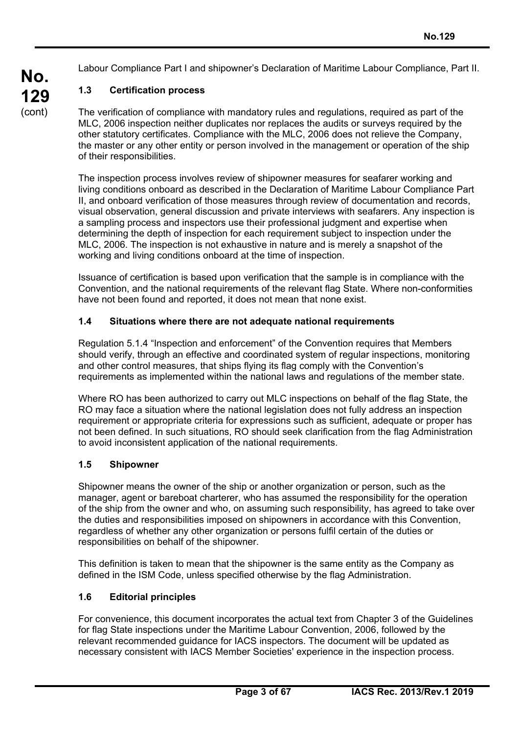Labour Compliance Part I and shipowner's Declaration of Maritime Labour Compliance, Part II.

# **1.3 Certification process**

**No.** 

**129**  (cont)

The verification of compliance with mandatory rules and regulations, required as part of the MLC, 2006 inspection neither duplicates nor replaces the audits or surveys required by the other statutory certificates. Compliance with the MLC, 2006 does not relieve the Company, the master or any other entity or person involved in the management or operation of the ship of their responsibilities.

The inspection process involves review of shipowner measures for seafarer working and living conditions onboard as described in the Declaration of Maritime Labour Compliance Part II, and onboard verification of those measures through review of documentation and records, visual observation, general discussion and private interviews with seafarers. Any inspection is a sampling process and inspectors use their professional judgment and expertise when determining the depth of inspection for each requirement subject to inspection under the MLC, 2006. The inspection is not exhaustive in nature and is merely a snapshot of the working and living conditions onboard at the time of inspection.

Issuance of certification is based upon verification that the sample is in compliance with the Convention, and the national requirements of the relevant flag State. Where non-conformities have not been found and reported, it does not mean that none exist.

## **1.4 Situations where there are not adequate national requirements**

Regulation 5.1.4 "Inspection and enforcement" of the Convention requires that Members should verify, through an effective and coordinated system of regular inspections, monitoring and other control measures, that ships flying its flag comply with the Convention's requirements as implemented within the national laws and regulations of the member state.

Where RO has been authorized to carry out MLC inspections on behalf of the flag State, the RO may face a situation where the national legislation does not fully address an inspection requirement or appropriate criteria for expressions such as sufficient, adequate or proper has not been defined. In such situations, RO should seek clarification from the flag Administration to avoid inconsistent application of the national requirements.

#### **1.5 Shipowner**

Shipowner means the owner of the ship or another organization or person, such as the manager, agent or bareboat charterer, who has assumed the responsibility for the operation of the ship from the owner and who, on assuming such responsibility, has agreed to take over the duties and responsibilities imposed on shipowners in accordance with this Convention, regardless of whether any other organization or persons fulfil certain of the duties or responsibilities on behalf of the shipowner.

This definition is taken to mean that the shipowner is the same entity as the Company as defined in the ISM Code, unless specified otherwise by the flag Administration.

## **1.6 Editorial principles**

For convenience, this document incorporates the actual text from Chapter 3 of the Guidelines for flag State inspections under the Maritime Labour Convention, 2006, followed by the relevant recommended guidance for IACS inspectors. The document will be updated as necessary consistent with IACS Member Societies' experience in the inspection process.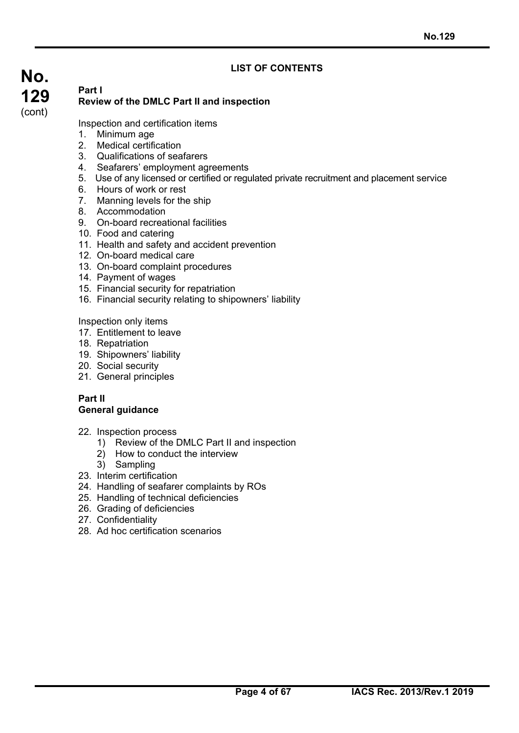# **LIST OF CONTENTS**

# **No. 129**  (cont) **Part I**

# **Review of the DMLC Part II and inspection**

Inspection and certification items

- 1. Minimum age
- 2. Medical certification
- 3. Qualifications of seafarers
- 4. Seafarers' employment agreements
- 5. Use of any licensed or certified or regulated private recruitment and placement service
- 6. Hours of work or rest
- 7. Manning levels for the ship
- 8. Accommodation
- 9. On-board recreational facilities
- 10. Food and catering
- 11. Health and safety and accident prevention
- 12. On-board medical care
- 13. On-board complaint procedures
- 14. Payment of wages
- 15. Financial security for repatriation
- 16. Financial security relating to shipowners' liability

Inspection only items

- 17. Entitlement to leave
- 18. Repatriation
- 19. Shipowners' liability
- 20. Social security
- 21. General principles

## **Part II General guidance**

- 22. Inspection process
	- 1) Review of the DMLC Part II and inspection
	- 2) How to conduct the interview
	- 3) Sampling
- 23. Interim certification
- 24. Handling of seafarer complaints by ROs
- 25. Handling of technical deficiencies
- 26. Grading of deficiencies
- 27. Confidentiality
- 28. Ad hoc certification scenarios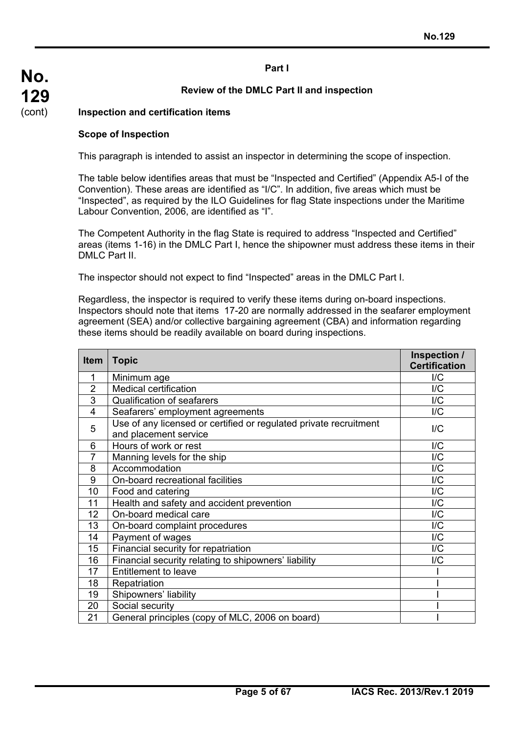## **Part I**

## **Review of the DMLC Part II and inspection**

#### **Inspection and certification items**

#### **Scope of Inspection**

This paragraph is intended to assist an inspector in determining the scope of inspection.

The table below identifies areas that must be "Inspected and Certified" (Appendix A5-I of the Convention). These areas are identified as "I/C". In addition, five areas which must be "Inspected", as required by the ILO Guidelines for flag State inspections under the Maritime Labour Convention, 2006, are identified as "I".

The Competent Authority in the flag State is required to address "Inspected and Certified" areas (items 1-16) in the DMLC Part I, hence the shipowner must address these items in their DMLC Part II.

The inspector should not expect to find "Inspected" areas in the DMLC Part I.

Regardless, the inspector is required to verify these items during on-board inspections. Inspectors should note that items 17-20 are normally addressed in the seafarer employment agreement (SEA) and/or collective bargaining agreement (CBA) and information regarding these items should be readily available on board during inspections.

| <b>Item</b>    | <b>Topic</b>                                                                               | Inspection /<br><b>Certification</b> |
|----------------|--------------------------------------------------------------------------------------------|--------------------------------------|
| 1              | Minimum age                                                                                | I/C                                  |
| $\overline{2}$ | Medical certification                                                                      | I/C                                  |
| 3              | <b>Qualification of seafarers</b>                                                          | I/C                                  |
| $\overline{4}$ | Seafarers' employment agreements                                                           | I/C                                  |
| 5              | Use of any licensed or certified or regulated private recruitment<br>and placement service | I/C                                  |
| 6              | Hours of work or rest                                                                      | I/C                                  |
| 7              | Manning levels for the ship                                                                | I/C                                  |
| 8              | Accommodation                                                                              | I/C                                  |
| 9              | On-board recreational facilities                                                           | I/C                                  |
| 10             | Food and catering                                                                          | I/C                                  |
| 11             | Health and safety and accident prevention                                                  | I/C                                  |
| 12             | On-board medical care                                                                      | I/C                                  |
| 13             | On-board complaint procedures                                                              | I/C                                  |
| 14             | Payment of wages                                                                           | I/C                                  |
| 15             | Financial security for repatriation                                                        | I/C                                  |
| 16             | Financial security relating to shipowners' liability                                       | I/C                                  |
| 17             | <b>Entitlement to leave</b>                                                                |                                      |
| 18             | Repatriation                                                                               |                                      |
| 19             | Shipowners' liability                                                                      |                                      |
| 20             | Social security                                                                            |                                      |
| 21             | General principles (copy of MLC, 2006 on board)                                            |                                      |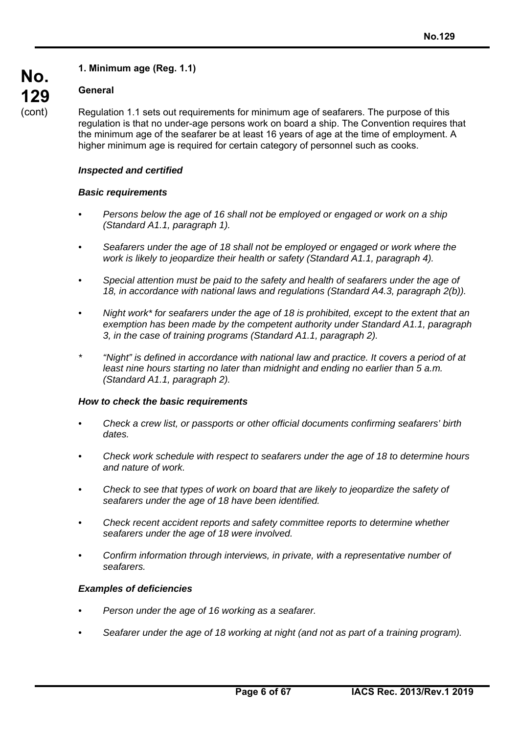# **1. Minimum age (Reg. 1.1)**

## **General**

Regulation 1.1 sets out requirements for minimum age of seafarers. The purpose of this regulation is that no under-age persons work on board a ship. The Convention requires that the minimum age of the seafarer be at least 16 years of age at the time of employment. A higher minimum age is required for certain category of personnel such as cooks.

#### *Inspected and certified*

#### *Basic requirements*

- *Persons below the age of 16 shall not be employed or engaged or work on a ship (Standard A1.1, paragraph 1).*
- *Seafarers under the age of 18 shall not be employed or engaged or work where the work is likely to jeopardize their health or safety (Standard A1.1, paragraph 4).*
- *Special attention must be paid to the safety and health of seafarers under the age of 18, in accordance with national laws and regulations (Standard A4.3, paragraph 2(b)).*
- *Night work\* for seafarers under the age of 18 is prohibited, except to the extent that an exemption has been made by the competent authority under Standard A1.1, paragraph 3, in the case of training programs (Standard A1.1, paragraph 2).*
- *\* "Night" is defined in accordance with national law and practice. It covers a period of at least nine hours starting no later than midnight and ending no earlier than 5 a.m. (Standard A1.1, paragraph 2).*

#### *How to check the basic requirements*

- *Check a crew list, or passports or other official documents confirming seafarers' birth dates.*
- *Check work schedule with respect to seafarers under the age of 18 to determine hours and nature of work.*
- *Check to see that types of work on board that are likely to jeopardize the safety of seafarers under the age of 18 have been identified.*
- *Check recent accident reports and safety committee reports to determine whether seafarers under the age of 18 were involved.*
- *Confirm information through interviews, in private, with a representative number of seafarers.*

## *Examples of deficiencies*

- *Person under the age of 16 working as a seafarer.*
- *Seafarer under the age of 18 working at night (and not as part of a training program).*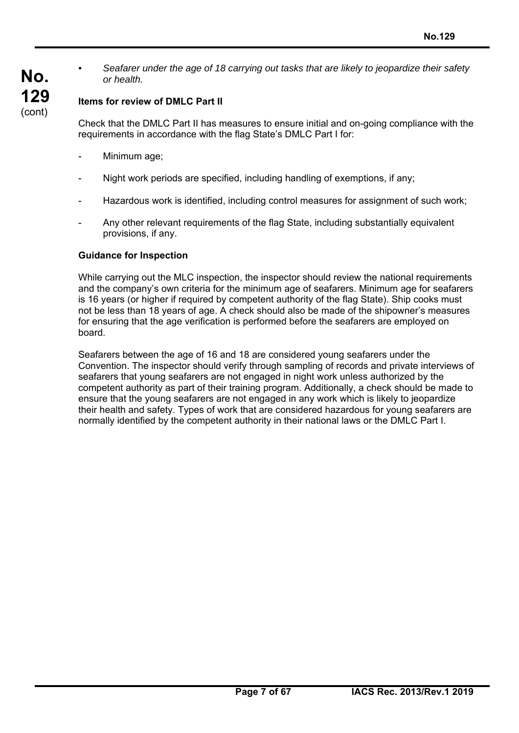*• Seafarer under the age of 18 carrying out tasks that are likely to jeopardize their safety or health.* 

# **Items for review of DMLC Part II**

Check that the DMLC Part II has measures to ensure initial and on-going compliance with the requirements in accordance with the flag State's DMLC Part I for:

Minimum age;

**No.** 

**129**  (cont)

- Night work periods are specified, including handling of exemptions, if any:
- Hazardous work is identified, including control measures for assignment of such work;
- Any other relevant requirements of the flag State, including substantially equivalent provisions, if any.

#### **Guidance for Inspection**

While carrying out the MLC inspection, the inspector should review the national requirements and the company's own criteria for the minimum age of seafarers. Minimum age for seafarers is 16 years (or higher if required by competent authority of the flag State). Ship cooks must not be less than 18 years of age. A check should also be made of the shipowner's measures for ensuring that the age verification is performed before the seafarers are employed on board.

Seafarers between the age of 16 and 18 are considered young seafarers under the Convention. The inspector should verify through sampling of records and private interviews of seafarers that young seafarers are not engaged in night work unless authorized by the competent authority as part of their training program. Additionally, a check should be made to ensure that the young seafarers are not engaged in any work which is likely to jeopardize their health and safety. Types of work that are considered hazardous for young seafarers are normally identified by the competent authority in their national laws or the DMLC Part I.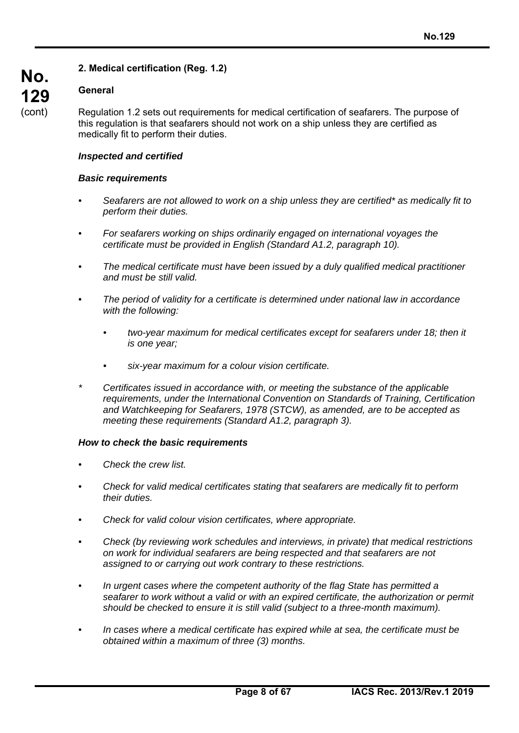# **2. Medical certification (Reg. 1.2)**

## **General**

Regulation 1.2 sets out requirements for medical certification of seafarers. The purpose of this regulation is that seafarers should not work on a ship unless they are certified as medically fit to perform their duties.

#### *Inspected and certified*

#### *Basic requirements*

- *Seafarers are not allowed to work on a ship unless they are certified\* as medically fit to perform their duties.*
- *For seafarers working on ships ordinarily engaged on international voyages the certificate must be provided in English (Standard A1.2, paragraph 10).*
- *The medical certificate must have been issued by a duly qualified medical practitioner and must be still valid.*
- *The period of validity for a certificate is determined under national law in accordance with the following:* 
	- *two-year maximum for medical certificates except for seafarers under 18; then it is one year;*
	- *six-year maximum for a colour vision certificate.*
- *\* Certificates issued in accordance with, or meeting the substance of the applicable requirements, under the International Convention on Standards of Training, Certification and Watchkeeping for Seafarers, 1978 (STCW), as amended, are to be accepted as meeting these requirements (Standard A1.2, paragraph 3).*

#### *How to check the basic requirements*

- *Check the crew list.*
- *Check for valid medical certificates stating that seafarers are medically fit to perform their duties.*
- *Check for valid colour vision certificates, where appropriate.*
- *Check (by reviewing work schedules and interviews, in private) that medical restrictions on work for individual seafarers are being respected and that seafarers are not assigned to or carrying out work contrary to these restrictions.*
- *In urgent cases where the competent authority of the flag State has permitted a seafarer to work without a valid or with an expired certificate, the authorization or permit should be checked to ensure it is still valid (subject to a three-month maximum).*
- *In cases where a medical certificate has expired while at sea, the certificate must be obtained within a maximum of three (3) months.*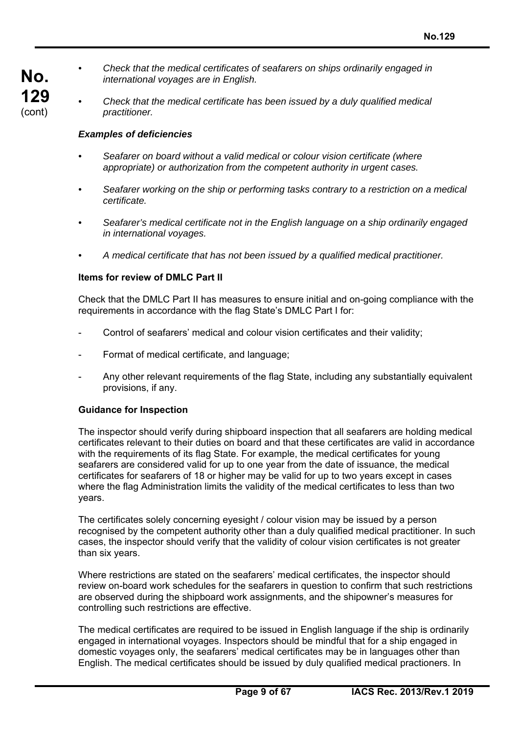- *Check that the medical certificates of seafarers on ships ordinarily engaged in international voyages are in English.* 
	- *Check that the medical certificate has been issued by a duly qualified medical practitioner.*

#### *Examples of deficiencies*

**No.** 

**129**  (cont)

- *Seafarer on board without a valid medical or colour vision certificate (where appropriate) or authorization from the competent authority in urgent cases.*
- *Seafarer working on the ship or performing tasks contrary to a restriction on a medical certificate.*
- *Seafarer's medical certificate not in the English language on a ship ordinarily engaged in international voyages.*
- *A medical certificate that has not been issued by a qualified medical practitioner.*

#### **Items for review of DMLC Part II**

Check that the DMLC Part II has measures to ensure initial and on-going compliance with the requirements in accordance with the flag State's DMLC Part I for:

- Control of seafarers' medical and colour vision certificates and their validity;
- Format of medical certificate, and language;
- Any other relevant requirements of the flag State, including any substantially equivalent provisions, if any.

#### **Guidance for Inspection**

The inspector should verify during shipboard inspection that all seafarers are holding medical certificates relevant to their duties on board and that these certificates are valid in accordance with the requirements of its flag State. For example, the medical certificates for young seafarers are considered valid for up to one year from the date of issuance, the medical certificates for seafarers of 18 or higher may be valid for up to two years except in cases where the flag Administration limits the validity of the medical certificates to less than two years.

The certificates solely concerning eyesight / colour vision may be issued by a person recognised by the competent authority other than a duly qualified medical practitioner. In such cases, the inspector should verify that the validity of colour vision certificates is not greater than six years.

Where restrictions are stated on the seafarers' medical certificates, the inspector should review on-board work schedules for the seafarers in question to confirm that such restrictions are observed during the shipboard work assignments, and the shipowner's measures for controlling such restrictions are effective.

The medical certificates are required to be issued in English language if the ship is ordinarily engaged in international voyages. Inspectors should be mindful that for a ship engaged in domestic voyages only, the seafarers' medical certificates may be in languages other than English. The medical certificates should be issued by duly qualified medical practioners. In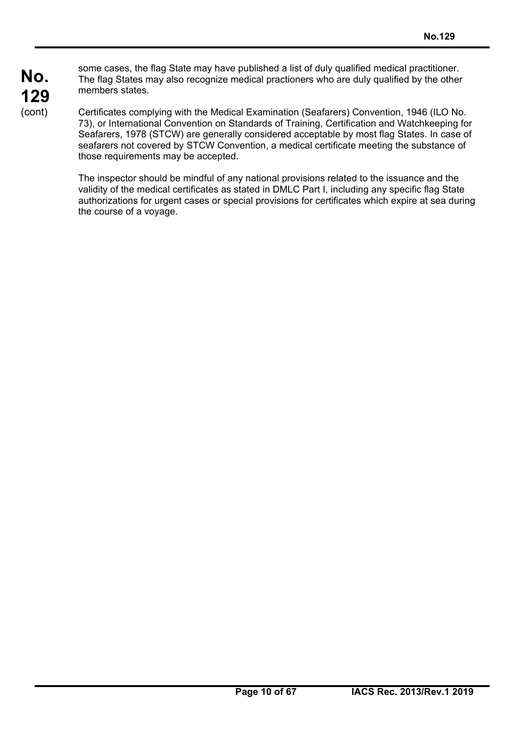some cases, the flag State may have published a list of duly qualified medical practitioner. The flag States may also recognize medical practioners who are duly qualified by the other members states.

Certificates complying with the Medical Examination (Seafarers) Convention, 1946 (ILO No. 73), or International Convention on Standards of Training, Certification and Watchkeeping for Seafarers, 1978 (STCW) are generally considered acceptable by most flag States. In case of seafarers not covered by STCW Convention, a medical certificate meeting the substance of those requirements may be accepted.

The inspector should be mindful of any national provisions related to the issuance and the validity of the medical certificates as stated in DMLC Part I, including any specific flag State authorizations for urgent cases or special provisions for certificates which expire at sea during the course of a voyage.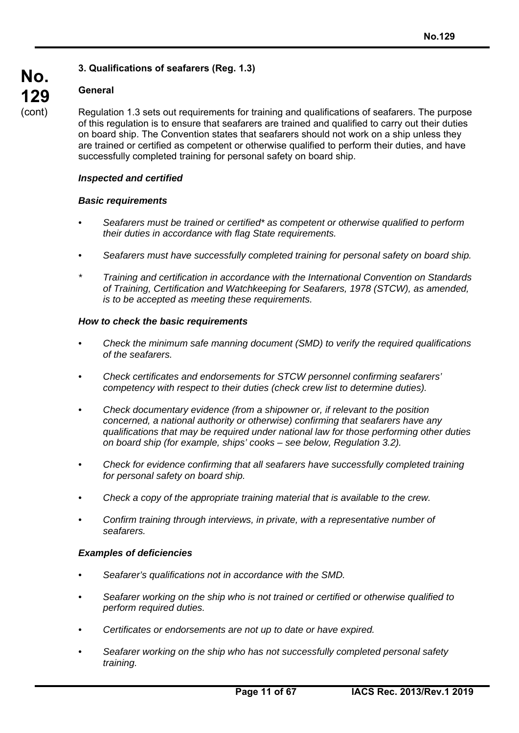# **3. Qualifications of seafarers (Reg. 1.3)**

## **General**

Regulation 1.3 sets out requirements for training and qualifications of seafarers. The purpose of this regulation is to ensure that seafarers are trained and qualified to carry out their duties on board ship. The Convention states that seafarers should not work on a ship unless they are trained or certified as competent or otherwise qualified to perform their duties, and have successfully completed training for personal safety on board ship.

#### *Inspected and certified*

#### *Basic requirements*

- *Seafarers must be trained or certified\* as competent or otherwise qualified to perform their duties in accordance with flag State requirements.*
- *Seafarers must have successfully completed training for personal safety on board ship.*
- *\* Training and certification in accordance with the International Convention on Standards of Training, Certification and Watchkeeping for Seafarers, 1978 (STCW), as amended, is to be accepted as meeting these requirements.*

#### *How to check the basic requirements*

- *Check the minimum safe manning document (SMD) to verify the required qualifications of the seafarers.*
- *Check certificates and endorsements for STCW personnel confirming seafarers' competency with respect to their duties (check crew list to determine duties).*
- *Check documentary evidence (from a shipowner or, if relevant to the position concerned, a national authority or otherwise) confirming that seafarers have any qualifications that may be required under national law for those performing other duties on board ship (for example, ships' cooks – see below, Regulation 3.2).*
- *Check for evidence confirming that all seafarers have successfully completed training for personal safety on board ship.*
- *Check a copy of the appropriate training material that is available to the crew.*
- *Confirm training through interviews, in private, with a representative number of seafarers.*

#### *Examples of deficiencies*

- *Seafarer's qualifications not in accordance with the SMD.*
- *Seafarer working on the ship who is not trained or certified or otherwise qualified to perform required duties.*
- *Certificates or endorsements are not up to date or have expired.*
- *Seafarer working on the ship who has not successfully completed personal safety training.*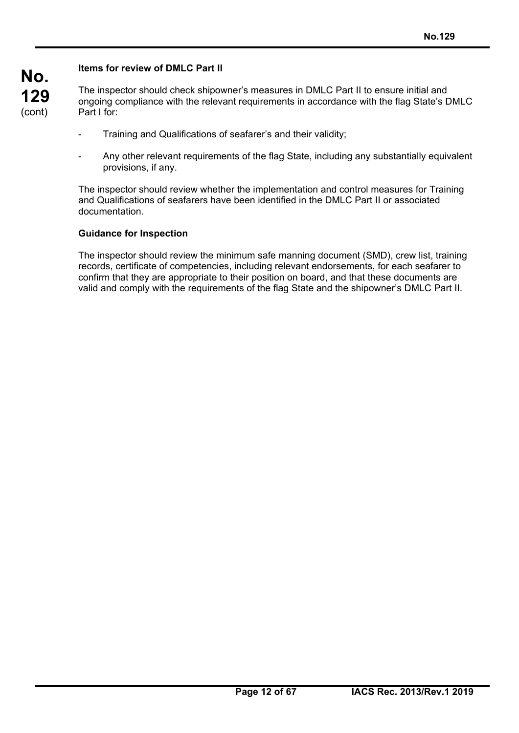# **Items for review of DMLC Part II**

**No.** 

**129**  (cont) The inspector should check shipowner's measures in DMLC Part II to ensure initial and ongoing compliance with the relevant requirements in accordance with the flag State's DMLC Part I for:

- Training and Qualifications of seafarer's and their validity;
- Any other relevant requirements of the flag State, including any substantially equivalent provisions, if any.

The inspector should review whether the implementation and control measures for Training and Qualifications of seafarers have been identified in the DMLC Part II or associated documentation.

#### **Guidance for Inspection**

The inspector should review the minimum safe manning document (SMD), crew list, training records, certificate of competencies, including relevant endorsements, for each seafarer to confirm that they are appropriate to their position on board, and that these documents are valid and comply with the requirements of the flag State and the shipowner's DMLC Part II.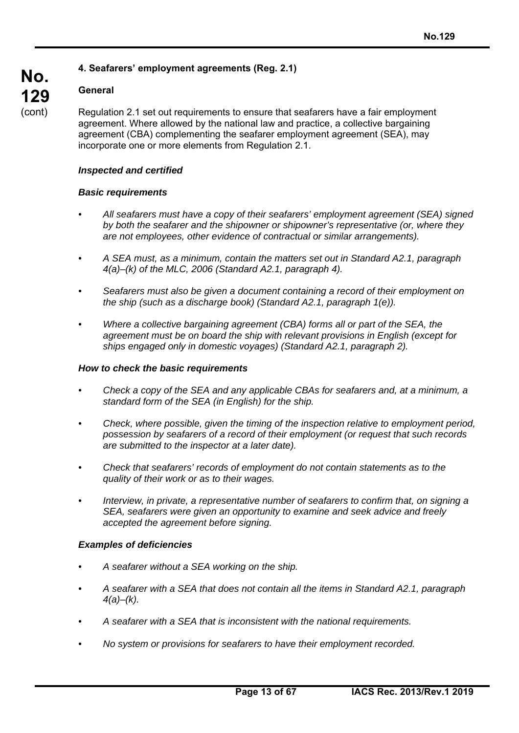# **4. Seafarers' employment agreements (Reg. 2.1)**

# **General**

**No.** 

**129**  (cont)

Regulation 2.1 set out requirements to ensure that seafarers have a fair employment agreement. Where allowed by the national law and practice, a collective bargaining agreement (CBA) complementing the seafarer employment agreement (SEA), may incorporate one or more elements from Regulation 2.1.

#### *Inspected and certified*

#### *Basic requirements*

- *All seafarers must have a copy of their seafarers' employment agreement (SEA) signed by both the seafarer and the shipowner or shipowner's representative (or, where they are not employees, other evidence of contractual or similar arrangements).*
- *A SEA must, as a minimum, contain the matters set out in Standard A2.1, paragraph 4(a)–(k) of the MLC, 2006 (Standard A2.1, paragraph 4).*
- *Seafarers must also be given a document containing a record of their employment on the ship (such as a discharge book) (Standard A2.1, paragraph 1(e)).*
- *Where a collective bargaining agreement (CBA) forms all or part of the SEA, the agreement must be on board the ship with relevant provisions in English (except for ships engaged only in domestic voyages) (Standard A2.1, paragraph 2).*

#### *How to check the basic requirements*

- *Check a copy of the SEA and any applicable CBAs for seafarers and, at a minimum, a standard form of the SEA (in English) for the ship.*
- *Check, where possible, given the timing of the inspection relative to employment period, possession by seafarers of a record of their employment (or request that such records are submitted to the inspector at a later date).*
- *Check that seafarers' records of employment do not contain statements as to the quality of their work or as to their wages.*
- *Interview, in private, a representative number of seafarers to confirm that, on signing a SEA, seafarers were given an opportunity to examine and seek advice and freely accepted the agreement before signing.*

## *Examples of deficiencies*

- *A seafarer without a SEA working on the ship.*
- *A seafarer with a SEA that does not contain all the items in Standard A2.1, paragraph 4(a)–(k).*
- *A seafarer with a SEA that is inconsistent with the national requirements.*
- *No system or provisions for seafarers to have their employment recorded.*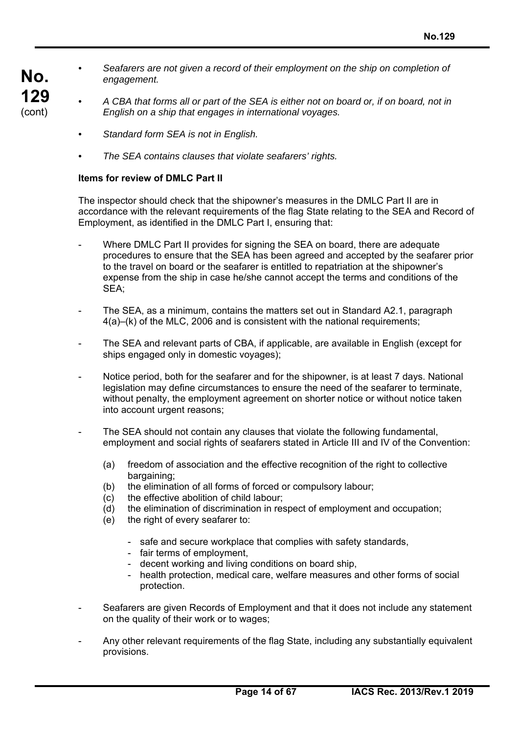- Seafarers are not given a record of their employment on the ship on completion of *engagement.*
- *A CBA that forms all or part of the SEA is either not on board or, if on board, not in English on a ship that engages in international voyages.* 
	- *Standard form SEA is not in English.*
	- *The SEA contains clauses that violate seafarers' rights.*

#### **Items for review of DMLC Part II**

**No.** 

**129**  (cont)

> The inspector should check that the shipowner's measures in the DMLC Part II are in accordance with the relevant requirements of the flag State relating to the SEA and Record of Employment, as identified in the DMLC Part I, ensuring that:

- Where DMLC Part II provides for signing the SEA on board, there are adequate procedures to ensure that the SEA has been agreed and accepted by the seafarer prior to the travel on board or the seafarer is entitled to repatriation at the shipowner's expense from the ship in case he/she cannot accept the terms and conditions of the SEA;
- The SEA, as a minimum, contains the matters set out in Standard A2.1, paragraph 4(a)–(k) of the MLC, 2006 and is consistent with the national requirements;
- The SEA and relevant parts of CBA, if applicable, are available in English (except for ships engaged only in domestic voyages);
- Notice period, both for the seafarer and for the shipowner, is at least 7 days. National legislation may define circumstances to ensure the need of the seafarer to terminate, without penalty, the employment agreement on shorter notice or without notice taken into account urgent reasons;
- The SEA should not contain any clauses that violate the following fundamental, employment and social rights of seafarers stated in Article III and IV of the Convention:
	- (a) freedom of association and the effective recognition of the right to collective bargaining;
	- (b) the elimination of all forms of forced or compulsory labour;
	- (c) the effective abolition of child labour;
	- (d) the elimination of discrimination in respect of employment and occupation;
	- (e) the right of every seafarer to:
		- safe and secure workplace that complies with safety standards,
		- fair terms of employment,
		- decent working and living conditions on board ship,
		- health protection, medical care, welfare measures and other forms of social protection.
- Seafarers are given Records of Employment and that it does not include any statement on the quality of their work or to wages;
- Any other relevant requirements of the flag State, including any substantially equivalent provisions.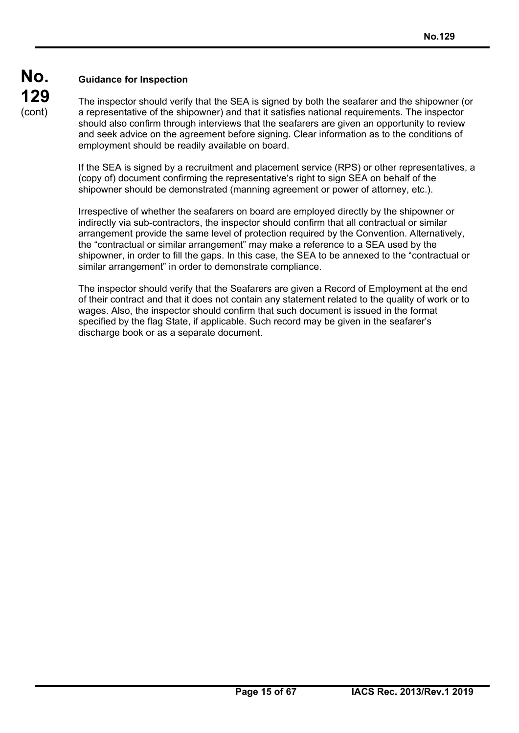# **No. 129**  (cont)

# **Guidance for Inspection**

The inspector should verify that the SEA is signed by both the seafarer and the shipowner (or a representative of the shipowner) and that it satisfies national requirements. The inspector should also confirm through interviews that the seafarers are given an opportunity to review and seek advice on the agreement before signing. Clear information as to the conditions of employment should be readily available on board.

If the SEA is signed by a recruitment and placement service (RPS) or other representatives, a (copy of) document confirming the representative's right to sign SEA on behalf of the shipowner should be demonstrated (manning agreement or power of attorney, etc.).

Irrespective of whether the seafarers on board are employed directly by the shipowner or indirectly via sub-contractors, the inspector should confirm that all contractual or similar arrangement provide the same level of protection required by the Convention. Alternatively, the "contractual or similar arrangement" may make a reference to a SEA used by the shipowner, in order to fill the gaps. In this case, the SEA to be annexed to the "contractual or similar arrangement" in order to demonstrate compliance.

The inspector should verify that the Seafarers are given a Record of Employment at the end of their contract and that it does not contain any statement related to the quality of work or to wages. Also, the inspector should confirm that such document is issued in the format specified by the flag State, if applicable. Such record may be given in the seafarer's discharge book or as a separate document.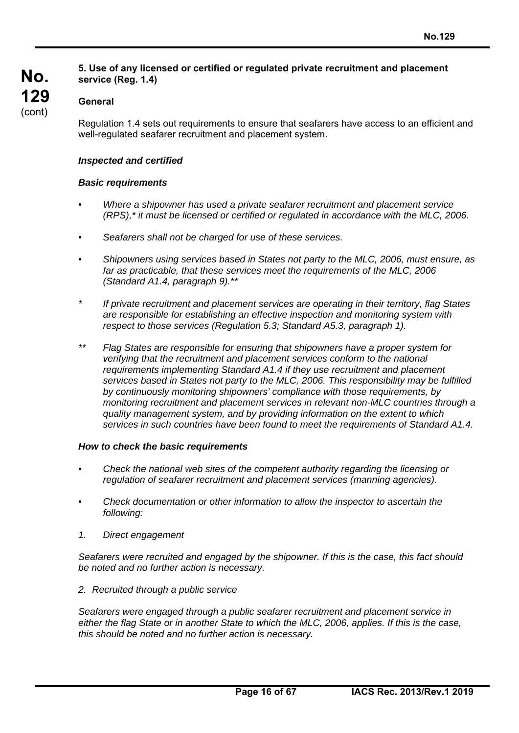## **5. Use of any licensed or certified or regulated private recruitment and placement service (Reg. 1.4)**

# **General**

**No.** 

**129**  (cont)

> Regulation 1.4 sets out requirements to ensure that seafarers have access to an efficient and well-regulated seafarer recruitment and placement system.

#### *Inspected and certified*

#### *Basic requirements*

- *Where a shipowner has used a private seafarer recruitment and placement service (RPS),\* it must be licensed or certified or regulated in accordance with the MLC, 2006.*
- *Seafarers shall not be charged for use of these services.*
- *Shipowners using services based in States not party to the MLC, 2006, must ensure, as*  far as practicable, that these services meet the requirements of the MLC, 2006 *(Standard A1.4, paragraph 9).\*\**
- *\* If private recruitment and placement services are operating in their territory, flag States are responsible for establishing an effective inspection and monitoring system with respect to those services (Regulation 5.3; Standard A5.3, paragraph 1).*
- *\*\* Flag States are responsible for ensuring that shipowners have a proper system for verifying that the recruitment and placement services conform to the national requirements implementing Standard A1.4 if they use recruitment and placement services based in States not party to the MLC, 2006. This responsibility may be fulfilled by continuously monitoring shipowners' compliance with those requirements, by monitoring recruitment and placement services in relevant non-MLC countries through a quality management system, and by providing information on the extent to which services in such countries have been found to meet the requirements of Standard A1.4.*

#### *How to check the basic requirements*

- *Check the national web sites of the competent authority regarding the licensing or regulation of seafarer recruitment and placement services (manning agencies).*
- *Check documentation or other information to allow the inspector to ascertain the following:*
- *1. Direct engagement*

*Seafarers were recruited and engaged by the shipowner. If this is the case, this fact should be noted and no further action is necessary.* 

*2. Recruited through a public service* 

*Seafarers were engaged through a public seafarer recruitment and placement service in either the flag State or in another State to which the MLC, 2006, applies. If this is the case, this should be noted and no further action is necessary.*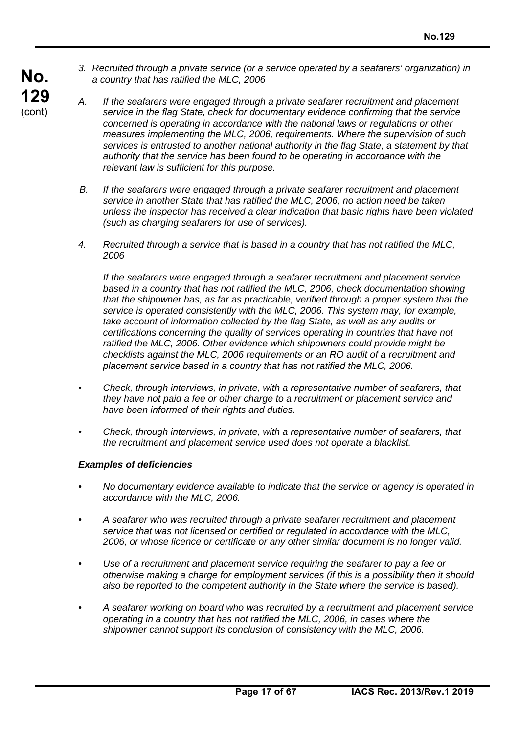*3. Recruited through a private service (or a service operated by a seafarers' organization) in a country that has ratified the MLC, 2006* 

**No. 129**  (cont)

- *A. If the seafarers were engaged through a private seafarer recruitment and placement service in the flag State, check for documentary evidence confirming that the service concerned is operating in accordance with the national laws or regulations or other measures implementing the MLC, 2006, requirements. Where the supervision of such services is entrusted to another national authority in the flag State, a statement by that authority that the service has been found to be operating in accordance with the relevant law is sufficient for this purpose.*
- *B. If the seafarers were engaged through a private seafarer recruitment and placement service in another State that has ratified the MLC, 2006, no action need be taken unless the inspector has received a clear indication that basic rights have been violated (such as charging seafarers for use of services).*
- *4. Recruited through a service that is based in a country that has not ratified the MLC, 2006*

*If the seafarers were engaged through a seafarer recruitment and placement service based in a country that has not ratified the MLC, 2006, check documentation showing that the shipowner has, as far as practicable, verified through a proper system that the service is operated consistently with the MLC, 2006. This system may, for example, take account of information collected by the flag State, as well as any audits or certifications concerning the quality of services operating in countries that have not*  ratified the MLC, 2006. Other evidence which shipowners could provide might be *checklists against the MLC, 2006 requirements or an RO audit of a recruitment and placement service based in a country that has not ratified the MLC, 2006.* 

- *Check, through interviews, in private, with a representative number of seafarers, that they have not paid a fee or other charge to a recruitment or placement service and have been informed of their rights and duties.*
- *Check, through interviews, in private, with a representative number of seafarers, that the recruitment and placement service used does not operate a blacklist.*

#### *Examples of deficiencies*

- *No documentary evidence available to indicate that the service or agency is operated in accordance with the MLC, 2006.*
- *A seafarer who was recruited through a private seafarer recruitment and placement service that was not licensed or certified or regulated in accordance with the MLC, 2006, or whose licence or certificate or any other similar document is no longer valid.*
- *Use of a recruitment and placement service requiring the seafarer to pay a fee or otherwise making a charge for employment services (if this is a possibility then it should also be reported to the competent authority in the State where the service is based).*
- *A seafarer working on board who was recruited by a recruitment and placement service operating in a country that has not ratified the MLC, 2006, in cases where the*  shipowner cannot support its conclusion of consistency with the MLC, 2006.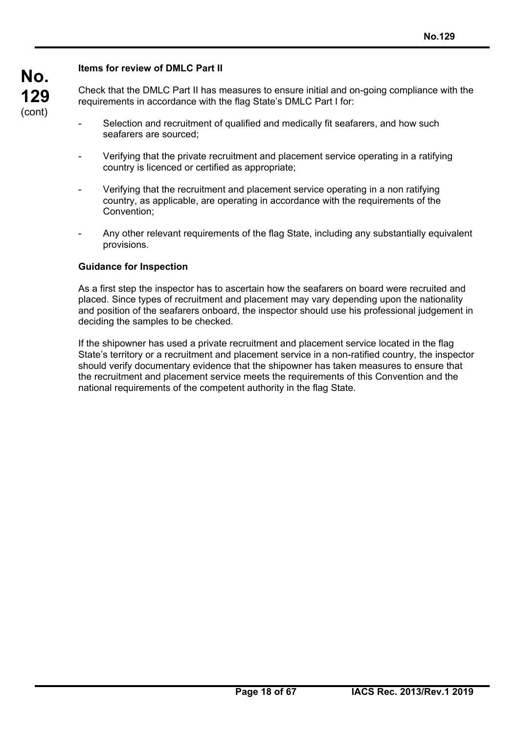## **Items for review of DMLC Part II**

**No.** 

**129**  (cont)

Check that the DMLC Part II has measures to ensure initial and on-going compliance with the requirements in accordance with the flag State's DMLC Part I for:

- Selection and recruitment of qualified and medically fit seafarers, and how such seafarers are sourced;
- Verifying that the private recruitment and placement service operating in a ratifying country is licenced or certified as appropriate;
- Verifying that the recruitment and placement service operating in a non ratifying country, as applicable, are operating in accordance with the requirements of the Convention;
- Any other relevant requirements of the flag State, including any substantially equivalent provisions.

#### **Guidance for Inspection**

As a first step the inspector has to ascertain how the seafarers on board were recruited and placed. Since types of recruitment and placement may vary depending upon the nationality and position of the seafarers onboard, the inspector should use his professional judgement in deciding the samples to be checked.

If the shipowner has used a private recruitment and placement service located in the flag State's territory or a recruitment and placement service in a non-ratified country, the inspector should verify documentary evidence that the shipowner has taken measures to ensure that the recruitment and placement service meets the requirements of this Convention and the national requirements of the competent authority in the flag State.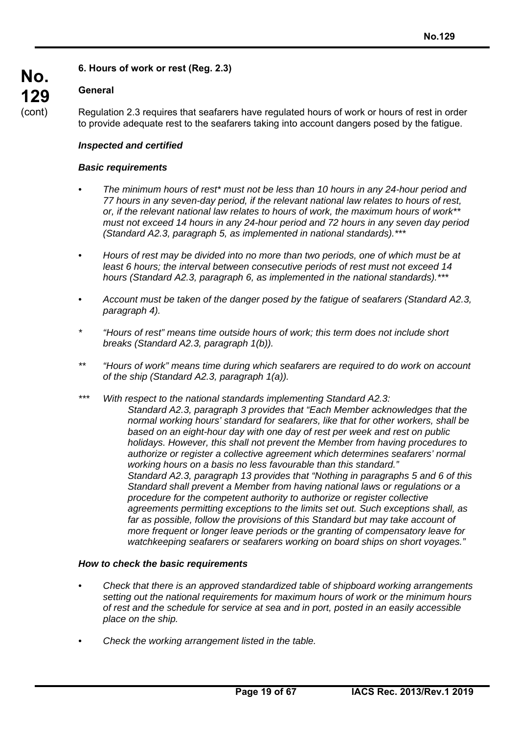# **6. Hours of work or rest (Reg. 2.3)**

## **General**

**No.** 

**129**  (cont)

Regulation 2.3 requires that seafarers have regulated hours of work or hours of rest in order to provide adequate rest to the seafarers taking into account dangers posed by the fatigue.

## *Inspected and certified*

#### *Basic requirements*

- *The minimum hours of rest\* must not be less than 10 hours in any 24-hour period and 77 hours in any seven-day period, if the relevant national law relates to hours of rest, or, if the relevant national law relates to hours of work, the maximum hours of work\*\* must not exceed 14 hours in any 24-hour period and 72 hours in any seven day period (Standard A2.3, paragraph 5, as implemented in national standards).\*\*\**
- *Hours of rest may be divided into no more than two periods, one of which must be at least 6 hours; the interval between consecutive periods of rest must not exceed 14 hours (Standard A2.3, paragraph 6, as implemented in the national standards).\*\*\**
- *Account must be taken of the danger posed by the fatigue of seafarers (Standard A2.3, paragraph 4).*
- *\* "Hours of rest" means time outside hours of work; this term does not include short breaks (Standard A2.3, paragraph 1(b)).*
- *\*\* "Hours of work" means time during which seafarers are required to do work on account of the ship (Standard A2.3, paragraph 1(a)).*
- *\*\*\* With respect to the national standards implementing Standard A2.3: Standard A2.3, paragraph 3 provides that "Each Member acknowledges that the normal working hours' standard for seafarers, like that for other workers, shall be based on an eight-hour day with one day of rest per week and rest on public holidays. However, this shall not prevent the Member from having procedures to authorize or register a collective agreement which determines seafarers' normal working hours on a basis no less favourable than this standard." Standard A2.3, paragraph 13 provides that "Nothing in paragraphs 5 and 6 of this Standard shall prevent a Member from having national laws or regulations or a procedure for the competent authority to authorize or register collective agreements permitting exceptions to the limits set out. Such exceptions shall, as*  far as possible, follow the provisions of this Standard but may take account of *more frequent or longer leave periods or the granting of compensatory leave for watchkeeping seafarers or seafarers working on board ships on short voyages."*

#### *How to check the basic requirements*

- *Check that there is an approved standardized table of shipboard working arrangements setting out the national requirements for maximum hours of work or the minimum hours of rest and the schedule for service at sea and in port, posted in an easily accessible place on the ship.*
- *Check the working arrangement listed in the table.*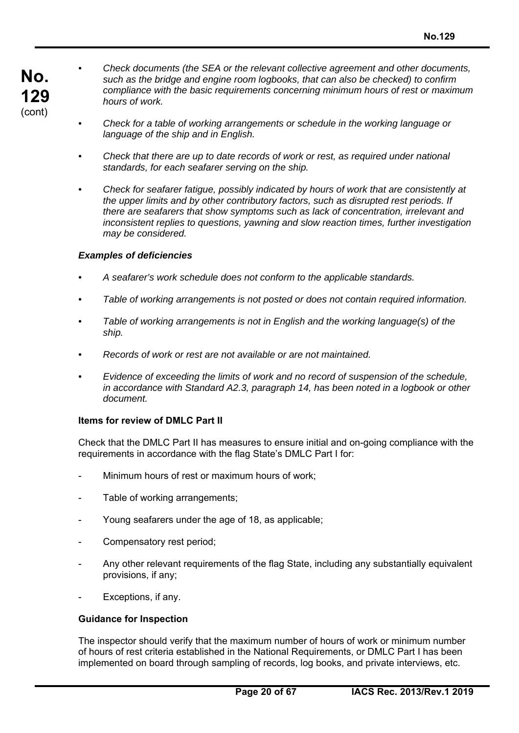- *Check documents (the SEA or the relevant collective agreement and other documents, such as the bridge and engine room logbooks, that can also be checked) to confirm compliance with the basic requirements concerning minimum hours of rest or maximum hours of work.*
- *Check for a table of working arrangements or schedule in the working language or language of the ship and in English.*
- *Check that there are up to date records of work or rest, as required under national standards, for each seafarer serving on the ship.*
- *Check for seafarer fatigue, possibly indicated by hours of work that are consistently at the upper limits and by other contributory factors, such as disrupted rest periods. If there are seafarers that show symptoms such as lack of concentration, irrelevant and inconsistent replies to questions, yawning and slow reaction times, further investigation may be considered.*

#### *Examples of deficiencies*

- *A seafarer's work schedule does not conform to the applicable standards.*
- *Table of working arrangements is not posted or does not contain required information.*
- *Table of working arrangements is not in English and the working language(s) of the ship.*
- *Records of work or rest are not available or are not maintained.*
- *Evidence of exceeding the limits of work and no record of suspension of the schedule, in accordance with Standard A2.3, paragraph 14, has been noted in a logbook or other document.*

## **Items for review of DMLC Part II**

Check that the DMLC Part II has measures to ensure initial and on-going compliance with the requirements in accordance with the flag State's DMLC Part I for:

- Minimum hours of rest or maximum hours of work;
- Table of working arrangements;
- Young seafarers under the age of 18, as applicable:
- Compensatory rest period;
- Any other relevant requirements of the flag State, including any substantially equivalent provisions, if any;
- Exceptions, if any.

#### **Guidance for Inspection**

The inspector should verify that the maximum number of hours of work or minimum number of hours of rest criteria established in the National Requirements, or DMLC Part I has been implemented on board through sampling of records, log books, and private interviews, etc.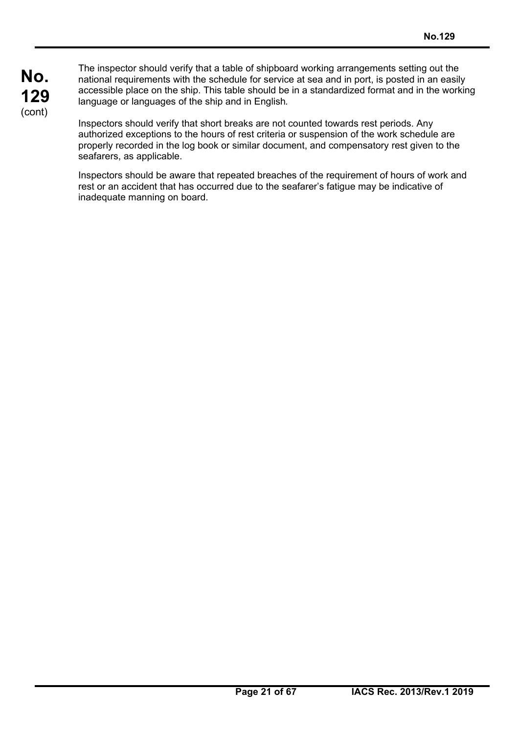The inspector should verify that a table of shipboard working arrangements setting out the national requirements with the schedule for service at sea and in port, is posted in an easily accessible place on the ship. This table should be in a standardized format and in the working language or languages of the ship and in English*.*

Inspectors should verify that short breaks are not counted towards rest periods. Any authorized exceptions to the hours of rest criteria or suspension of the work schedule are properly recorded in the log book or similar document, and compensatory rest given to the seafarers, as applicable.

Inspectors should be aware that repeated breaches of the requirement of hours of work and rest or an accident that has occurred due to the seafarer's fatigue may be indicative of inadequate manning on board.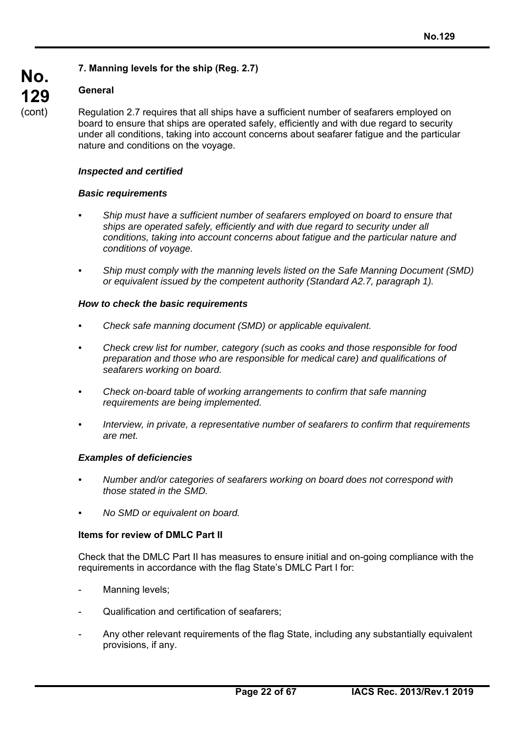# **7. Manning levels for the ship (Reg. 2.7)**

# **General**

**No.** 

**129**  (cont)

Regulation 2.7 requires that all ships have a sufficient number of seafarers employed on board to ensure that ships are operated safely, efficiently and with due regard to security under all conditions, taking into account concerns about seafarer fatigue and the particular nature and conditions on the voyage.

#### *Inspected and certified*

#### *Basic requirements*

- *Ship must have a sufficient number of seafarers employed on board to ensure that*  ships are operated safely, efficiently and with due regard to security under all *conditions, taking into account concerns about fatigue and the particular nature and conditions of voyage.*
- *Ship must comply with the manning levels listed on the Safe Manning Document (SMD) or equivalent issued by the competent authority (Standard A2.7, paragraph 1).*

#### *How to check the basic requirements*

- *Check safe manning document (SMD) or applicable equivalent.*
- *Check crew list for number, category (such as cooks and those responsible for food preparation and those who are responsible for medical care) and qualifications of seafarers working on board.*
- *Check on-board table of working arrangements to confirm that safe manning requirements are being implemented.*
- *Interview, in private, a representative number of seafarers to confirm that requirements are met.*

#### *Examples of deficiencies*

- *Number and/or categories of seafarers working on board does not correspond with those stated in the SMD.*
- *No SMD or equivalent on board.*

#### **Items for review of DMLC Part II**

Check that the DMLC Part II has measures to ensure initial and on-going compliance with the requirements in accordance with the flag State's DMLC Part I for:

- Manning levels;
- Qualification and certification of seafarers;
- Any other relevant requirements of the flag State, including any substantially equivalent provisions, if any.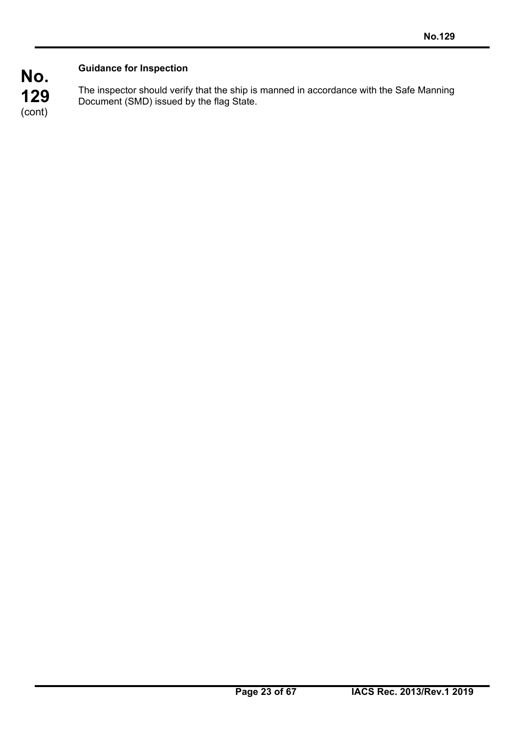# **Guidance for Inspection**

The inspector should verify that the ship is manned in accordance with the Safe Manning Document (SMD) issued by the flag State.

**No. 129**  (cont)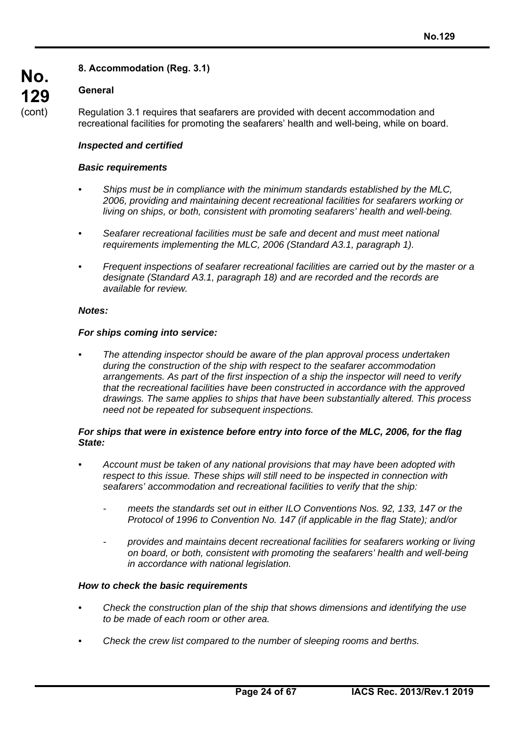# **8. Accommodation (Reg. 3.1)**

## **General**

**No.** 

**129**  (cont)

Regulation 3.1 requires that seafarers are provided with decent accommodation and recreational facilities for promoting the seafarers' health and well-being, while on board.

#### *Inspected and certified*

#### *Basic requirements*

- *Ships must be in compliance with the minimum standards established by the MLC, 2006, providing and maintaining decent recreational facilities for seafarers working or living on ships, or both, consistent with promoting seafarers' health and well-being.*
- *Seafarer recreational facilities must be safe and decent and must meet national requirements implementing the MLC, 2006 (Standard A3.1, paragraph 1).*
- *Frequent inspections of seafarer recreational facilities are carried out by the master or a designate (Standard A3.1, paragraph 18) and are recorded and the records are available for review.*

#### *Notes:*

#### *For ships coming into service:*

*• The attending inspector should be aware of the plan approval process undertaken during the construction of the ship with respect to the seafarer accommodation arrangements. As part of the first inspection of a ship the inspector will need to verify that the recreational facilities have been constructed in accordance with the approved drawings. The same applies to ships that have been substantially altered. This process need not be repeated for subsequent inspections.* 

#### *For ships that were in existence before entry into force of the MLC, 2006, for the flag State:*

- *Account must be taken of any national provisions that may have been adopted with respect to this issue. These ships will still need to be inspected in connection with seafarers' accommodation and recreational facilities to verify that the ship:* 
	- *meets the standards set out in either ILO Conventions Nos. 92, 133, 147 or the Protocol of 1996 to Convention No. 147 (if applicable in the flag State); and/or*
	- *provides and maintains decent recreational facilities for seafarers working or living on board, or both, consistent with promoting the seafarers' health and well-being in accordance with national legislation.*

#### *How to check the basic requirements*

- *Check the construction plan of the ship that shows dimensions and identifying the use to be made of each room or other area.*
- *Check the crew list compared to the number of sleeping rooms and berths.*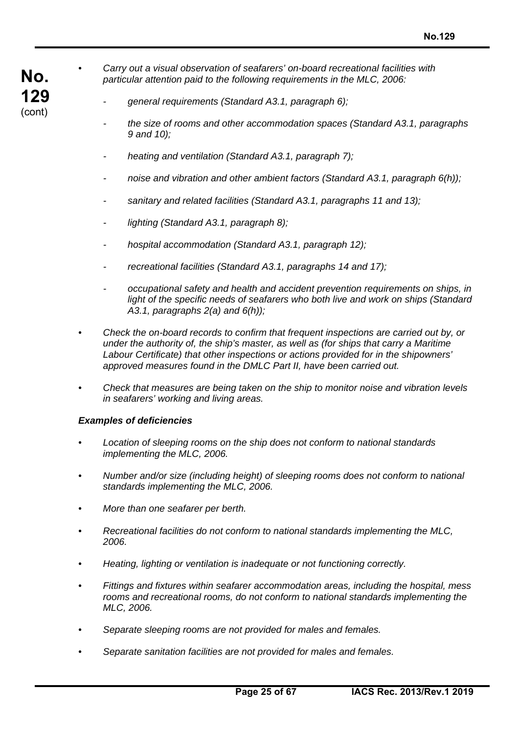**No. 129**  (cont)

*• Carry out a visual observation of seafarers' on-board recreational facilities with particular attention paid to the following requirements in the MLC, 2006:* 

- *general requirements (Standard A3.1, paragraph 6);*
- *the size of rooms and other accommodation spaces (Standard A3.1, paragraphs 9 and 10);*
- *heating and ventilation (Standard A3.1, paragraph 7);*
- *noise and vibration and other ambient factors (Standard A3.1, paragraph 6(h));*
- *sanitary and related facilities (Standard A3.1, paragraphs 11 and 13);*
- *lighting (Standard A3.1, paragraph 8);*
- *hospital accommodation (Standard A3.1, paragraph 12);*
- *recreational facilities (Standard A3.1, paragraphs 14 and 17);*
- *occupational safety and health and accident prevention requirements on ships, in light of the specific needs of seafarers who both live and work on ships (Standard A3.1, paragraphs 2(a) and 6(h));*
- *Check the on-board records to confirm that frequent inspections are carried out by, or under the authority of, the ship's master, as well as (for ships that carry a Maritime Labour Certificate) that other inspections or actions provided for in the shipowners' approved measures found in the DMLC Part II, have been carried out.*
- *Check that measures are being taken on the ship to monitor noise and vibration levels in seafarers' working and living areas.*

#### *Examples of deficiencies*

- *Location of sleeping rooms on the ship does not conform to national standards implementing the MLC, 2006.*
- *Number and/or size (including height) of sleeping rooms does not conform to national standards implementing the MLC, 2006.*
- *More than one seafarer per berth.*
- *Recreational facilities do not conform to national standards implementing the MLC, 2006.*
- *Heating, lighting or ventilation is inadequate or not functioning correctly.*
- *Fittings and fixtures within seafarer accommodation areas, including the hospital, mess rooms and recreational rooms, do not conform to national standards implementing the MLC, 2006.*
- *Separate sleeping rooms are not provided for males and females.*
- *Separate sanitation facilities are not provided for males and females.*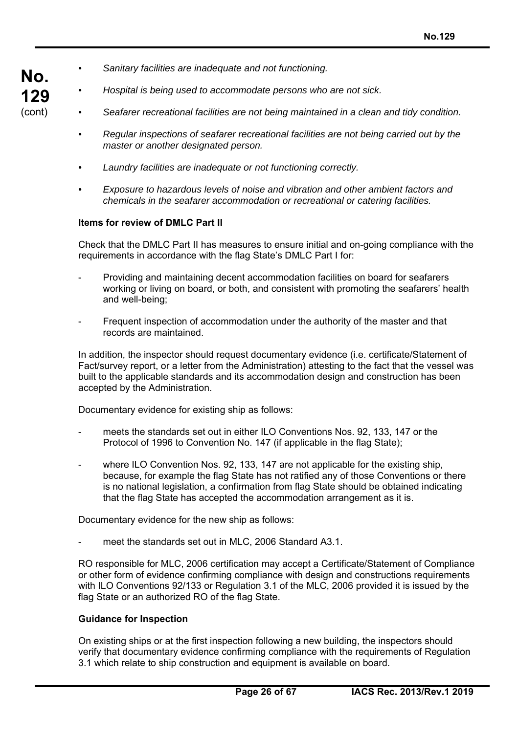**No.**  *• Sanitary facilities are inadequate and not functioning.* 

**129**  (cont)

- *Hospital is being used to accommodate persons who are not sick.*
- *Seafarer recreational facilities are not being maintained in a clean and tidy condition.*
- *Regular inspections of seafarer recreational facilities are not being carried out by the master or another designated person.*
- *Laundry facilities are inadequate or not functioning correctly.*
- *Exposure to hazardous levels of noise and vibration and other ambient factors and chemicals in the seafarer accommodation or recreational or catering facilities.*

# **Items for review of DMLC Part II**

Check that the DMLC Part II has measures to ensure initial and on-going compliance with the requirements in accordance with the flag State's DMLC Part I for:

- Providing and maintaining decent accommodation facilities on board for seafarers working or living on board, or both, and consistent with promoting the seafarers' health and well-being;
- Frequent inspection of accommodation under the authority of the master and that records are maintained.

In addition, the inspector should request documentary evidence (i.e. certificate/Statement of Fact/survey report, or a letter from the Administration) attesting to the fact that the vessel was built to the applicable standards and its accommodation design and construction has been accepted by the Administration.

Documentary evidence for existing ship as follows:

- meets the standards set out in either ILO Conventions Nos. 92, 133, 147 or the Protocol of 1996 to Convention No. 147 (if applicable in the flag State);
- where ILO Convention Nos. 92, 133, 147 are not applicable for the existing ship, because, for example the flag State has not ratified any of those Conventions or there is no national legislation, a confirmation from flag State should be obtained indicating that the flag State has accepted the accommodation arrangement as it is.

Documentary evidence for the new ship as follows:

meet the standards set out in MLC, 2006 Standard A3.1.

RO responsible for MLC, 2006 certification may accept a Certificate/Statement of Compliance or other form of evidence confirming compliance with design and constructions requirements with ILO Conventions 92/133 or Regulation 3.1 of the MLC, 2006 provided it is issued by the flag State or an authorized RO of the flag State.

## **Guidance for Inspection**

On existing ships or at the first inspection following a new building, the inspectors should verify that documentary evidence confirming compliance with the requirements of Regulation 3.1 which relate to ship construction and equipment is available on board.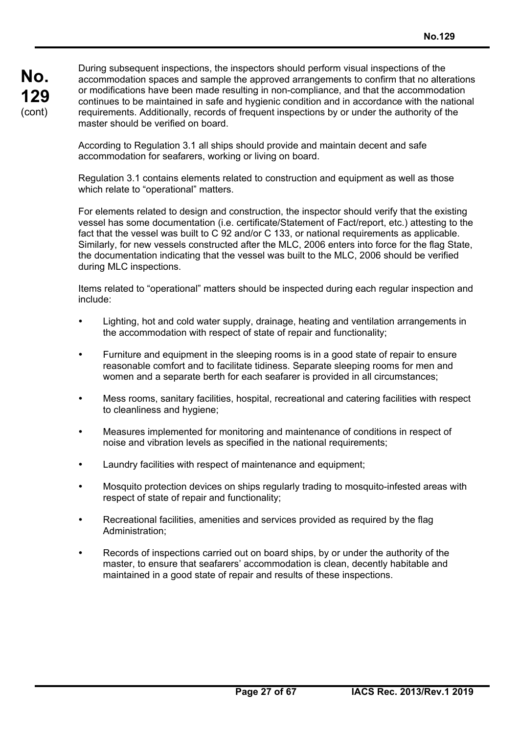During subsequent inspections, the inspectors should perform visual inspections of the accommodation spaces and sample the approved arrangements to confirm that no alterations or modifications have been made resulting in non-compliance, and that the accommodation continues to be maintained in safe and hygienic condition and in accordance with the national requirements. Additionally, records of frequent inspections by or under the authority of the master should be verified on board.

According to Regulation 3.1 all ships should provide and maintain decent and safe accommodation for seafarers, working or living on board.

Regulation 3.1 contains elements related to construction and equipment as well as those which relate to "operational" matters.

For elements related to design and construction, the inspector should verify that the existing vessel has some documentation (i.e. certificate/Statement of Fact/report, etc.) attesting to the fact that the vessel was built to C 92 and/or C 133, or national requirements as applicable. Similarly, for new vessels constructed after the MLC, 2006 enters into force for the flag State, the documentation indicating that the vessel was built to the MLC, 2006 should be verified during MLC inspections.

Items related to "operational" matters should be inspected during each regular inspection and include:

- Lighting, hot and cold water supply, drainage, heating and ventilation arrangements in the accommodation with respect of state of repair and functionality;
- Furniture and equipment in the sleeping rooms is in a good state of repair to ensure reasonable comfort and to facilitate tidiness. Separate sleeping rooms for men and women and a separate berth for each seafarer is provided in all circumstances;
- Mess rooms, sanitary facilities, hospital, recreational and catering facilities with respect to cleanliness and hygiene;
- Measures implemented for monitoring and maintenance of conditions in respect of noise and vibration levels as specified in the national requirements;
- Laundry facilities with respect of maintenance and equipment;
- Mosquito protection devices on ships regularly trading to mosquito-infested areas with respect of state of repair and functionality;
- Recreational facilities, amenities and services provided as required by the flag Administration;
- Records of inspections carried out on board ships, by or under the authority of the master, to ensure that seafarers' accommodation is clean, decently habitable and maintained in a good state of repair and results of these inspections.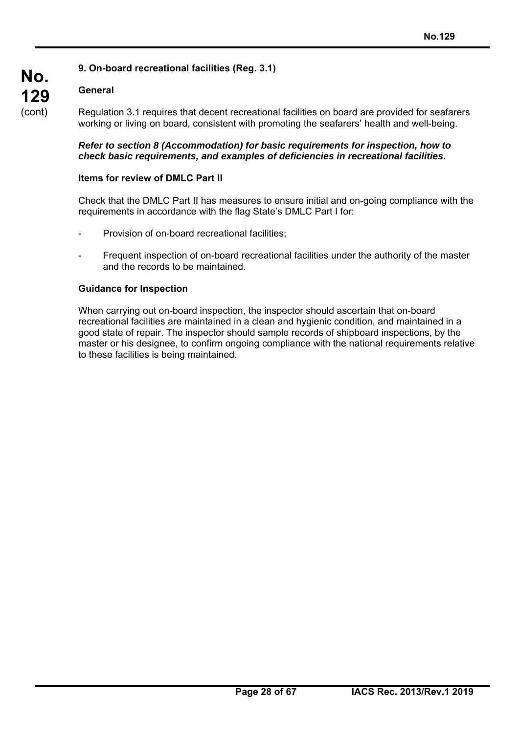# **9. On-board recreational facilities (Reg. 3.1)**

# **General**

**No.** 

**129**  (cont)

Regulation 3.1 requires that decent recreational facilities on board are provided for seafarers working or living on board, consistent with promoting the seafarers' health and well-being.

#### *Refer to section 8 (Accommodation) for basic requirements for inspection, how to check basic requirements, and examples of deficiencies in recreational facilities.*

## **Items for review of DMLC Part II**

Check that the DMLC Part II has measures to ensure initial and on-going compliance with the requirements in accordance with the flag State's DMLC Part I for:

- Provision of on-board recreational facilities;
- Frequent inspection of on-board recreational facilities under the authority of the master and the records to be maintained.

#### **Guidance for Inspection**

When carrying out on-board inspection, the inspector should ascertain that on-board recreational facilities are maintained in a clean and hygienic condition, and maintained in a good state of repair. The inspector should sample records of shipboard inspections, by the master or his designee, to confirm ongoing compliance with the national requirements relative to these facilities is being maintained.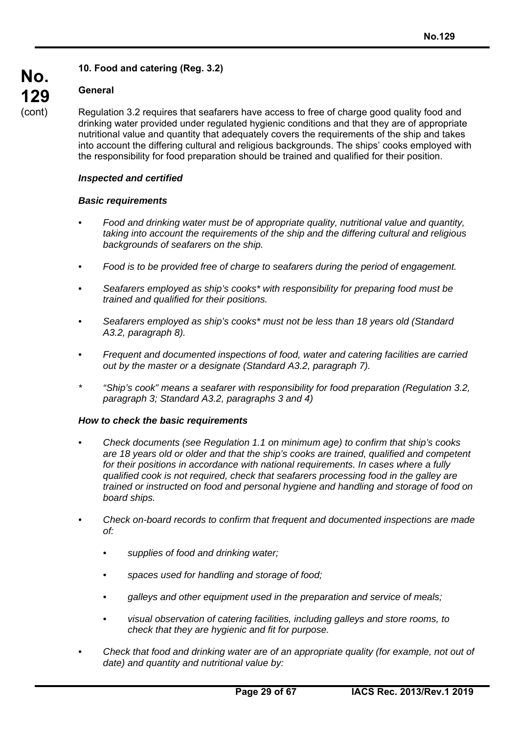# **10. Food and catering (Reg. 3.2)**

# **General**

**No.** 

**129**  (cont)

Regulation 3.2 requires that seafarers have access to free of charge good quality food and drinking water provided under regulated hygienic conditions and that they are of appropriate nutritional value and quantity that adequately covers the requirements of the ship and takes into account the differing cultural and religious backgrounds. The ships' cooks employed with the responsibility for food preparation should be trained and qualified for their position.

#### *Inspected and certified*

#### *Basic requirements*

- *Food and drinking water must be of appropriate quality, nutritional value and quantity, taking into account the requirements of the ship and the differing cultural and religious backgrounds of seafarers on the ship.*
- *Food is to be provided free of charge to seafarers during the period of engagement.*
- *Seafarers employed as ship's cooks\* with responsibility for preparing food must be trained and qualified for their positions.*
- *Seafarers employed as ship's cooks\* must not be less than 18 years old (Standard A3.2, paragraph 8).*
- *Frequent and documented inspections of food, water and catering facilities are carried out by the master or a designate (Standard A3.2, paragraph 7).*
- *\* "Ship's cook" means a seafarer with responsibility for food preparation (Regulation 3.2, paragraph 3; Standard A3.2, paragraphs 3 and 4)*

#### *How to check the basic requirements*

- *Check documents (see Regulation 1.1 on minimum age) to confirm that ship's cooks are 18 years old or older and that the ship's cooks are trained, qualified and competent for their positions in accordance with national requirements. In cases where a fully qualified cook is not required, check that seafarers processing food in the galley are trained or instructed on food and personal hygiene and handling and storage of food on board ships.*
- *Check on-board records to confirm that frequent and documented inspections are made*   $of$ 
	- *supplies of food and drinking water;*
	- *spaces used for handling and storage of food;*
	- *galleys and other equipment used in the preparation and service of meals;*
	- *visual observation of catering facilities, including galleys and store rooms, to check that they are hygienic and fit for purpose.*
- *Check that food and drinking water are of an appropriate quality (for example, not out of date) and quantity and nutritional value by:*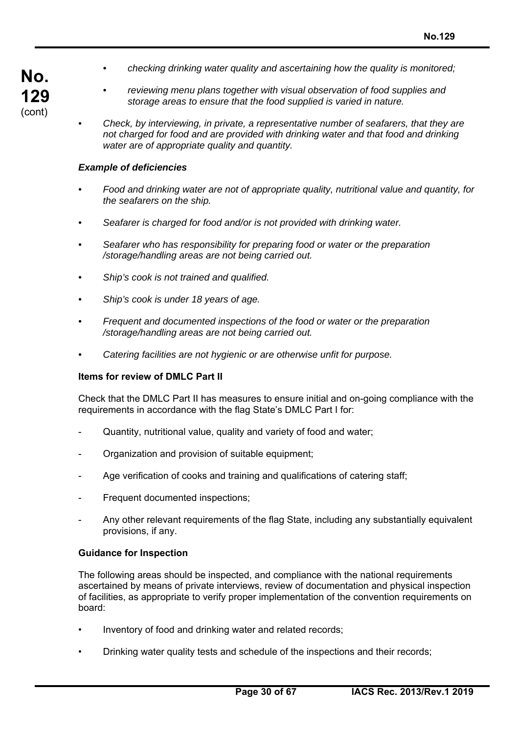- **No. 129**  (cont)
- *checking drinking water quality and ascertaining how the quality is monitored;*
- *reviewing menu plans together with visual observation of food supplies and storage areas to ensure that the food supplied is varied in nature.*
- *Check, by interviewing, in private, a representative number of seafarers, that they are not charged for food and are provided with drinking water and that food and drinking water are of appropriate quality and quantity.*

#### *Example of deficiencies*

- *Food and drinking water are not of appropriate quality, nutritional value and quantity, for the seafarers on the ship.*
- *Seafarer is charged for food and/or is not provided with drinking water.*
- *Seafarer who has responsibility for preparing food or water or the preparation /storage/handling areas are not being carried out.*
- *Ship's cook is not trained and qualified.*
- *Ship's cook is under 18 years of age.*
- *Frequent and documented inspections of the food or water or the preparation /storage/handling areas are not being carried out.*
- *Catering facilities are not hygienic or are otherwise unfit for purpose.*

#### **Items for review of DMLC Part II**

Check that the DMLC Part II has measures to ensure initial and on-going compliance with the requirements in accordance with the flag State's DMLC Part I for:

- Quantity, nutritional value, quality and variety of food and water;
- Organization and provision of suitable equipment;
- Age verification of cooks and training and qualifications of catering staff;
- Frequent documented inspections;
- Any other relevant requirements of the flag State, including any substantially equivalent provisions, if any.

#### **Guidance for Inspection**

The following areas should be inspected, and compliance with the national requirements ascertained by means of private interviews, review of documentation and physical inspection of facilities, as appropriate to verify proper implementation of the convention requirements on board:

- Inventory of food and drinking water and related records;
- Drinking water quality tests and schedule of the inspections and their records;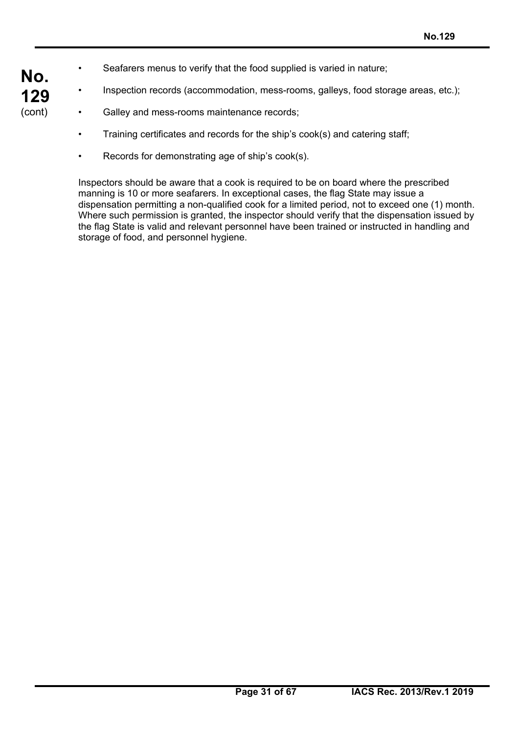- Seafarers menus to verify that the food supplied is varied in nature;
- Inspection records (accommodation, mess-rooms, galleys, food storage areas, etc.);
- Galley and mess-rooms maintenance records;

**No.** 

**129**  (cont)

- Training certificates and records for the ship's cook(s) and catering staff;
- Records for demonstrating age of ship's cook(s).

Inspectors should be aware that a cook is required to be on board where the prescribed manning is 10 or more seafarers. In exceptional cases, the flag State may issue a dispensation permitting a non-qualified cook for a limited period, not to exceed one (1) month. Where such permission is granted, the inspector should verify that the dispensation issued by the flag State is valid and relevant personnel have been trained or instructed in handling and storage of food, and personnel hygiene.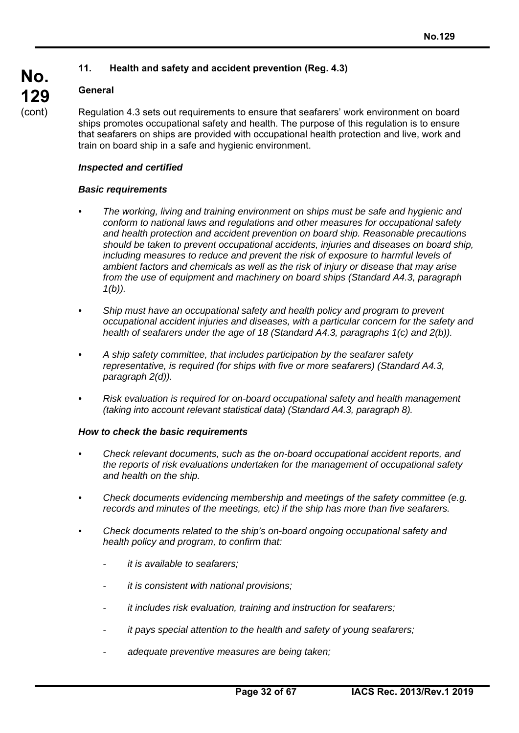# **11. Health and safety and accident prevention (Reg. 4.3)**

# **General**

Regulation 4.3 sets out requirements to ensure that seafarers' work environment on board ships promotes occupational safety and health. The purpose of this regulation is to ensure that seafarers on ships are provided with occupational health protection and live, work and train on board ship in a safe and hygienic environment.

#### *Inspected and certified*

#### *Basic requirements*

- *The working, living and training environment on ships must be safe and hygienic and conform to national laws and regulations and other measures for occupational safety and health protection and accident prevention on board ship. Reasonable precautions should be taken to prevent occupational accidents, injuries and diseases on board ship,*  including measures to reduce and prevent the risk of exposure to harmful levels of *ambient factors and chemicals as well as the risk of injury or disease that may arise from the use of equipment and machinery on board ships (Standard A4.3, paragraph 1(b)).*
- *Ship must have an occupational safety and health policy and program to prevent occupational accident injuries and diseases, with a particular concern for the safety and health of seafarers under the age of 18 (Standard A4.3, paragraphs 1(c) and 2(b)).*
- *A ship safety committee, that includes participation by the seafarer safety representative, is required (for ships with five or more seafarers) (Standard A4.3, paragraph 2(d)).*
- *Risk evaluation is required for on-board occupational safety and health management (taking into account relevant statistical data) (Standard A4.3, paragraph 8).*

#### *How to check the basic requirements*

- *Check relevant documents, such as the on-board occupational accident reports, and the reports of risk evaluations undertaken for the management of occupational safety and health on the ship.*
- *Check documents evidencing membership and meetings of the safety committee (e.g. records and minutes of the meetings, etc) if the ship has more than five seafarers.*
- *Check documents related to the ship's on-board ongoing occupational safety and health policy and program, to confirm that:* 
	- *it is available to seafarers;*
	- *it is consistent with national provisions;*
	- *it includes risk evaluation, training and instruction for seafarers;*
	- *it pays special attention to the health and safety of young seafarers;*
	- *adequate preventive measures are being taken;*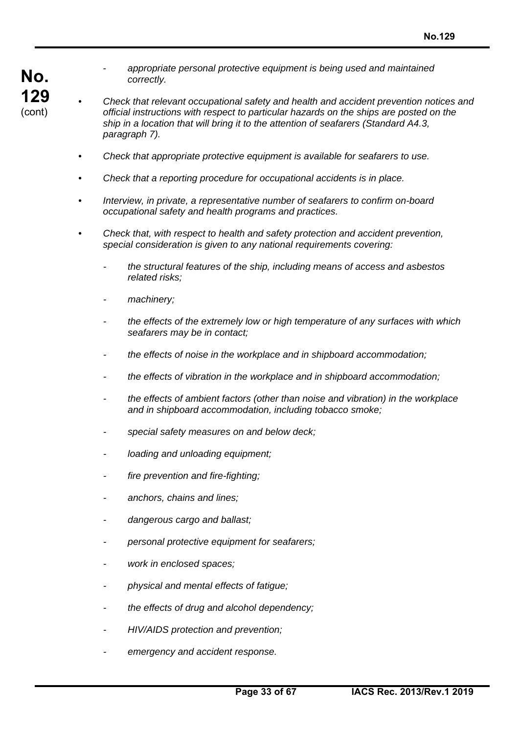- **No. 129**  (cont)
- *appropriate personal protective equipment is being used and maintained correctly.*
- *Check that relevant occupational safety and health and accident prevention notices and official instructions with respect to particular hazards on the ships are posted on the ship in a location that will bring it to the attention of seafarers (Standard A4.3, paragraph 7).* 
	- *Check that appropriate protective equipment is available for seafarers to use.*
	- *Check that a reporting procedure for occupational accidents is in place.*
	- *Interview, in private, a representative number of seafarers to confirm on-board occupational safety and health programs and practices.*
	- *Check that, with respect to health and safety protection and accident prevention, special consideration is given to any national requirements covering:* 
		- *the structural features of the ship, including means of access and asbestos related risks;*
		- *machinery;*
		- *the effects of the extremely low or high temperature of any surfaces with which seafarers may be in contact;*
		- *the effects of noise in the workplace and in shipboard accommodation;*
		- *the effects of vibration in the workplace and in shipboard accommodation;*
		- *the effects of ambient factors (other than noise and vibration) in the workplace and in shipboard accommodation, including tobacco smoke;*
		- *special safety measures on and below deck;*
		- *loading and unloading equipment;*
		- *fire prevention and fire-fighting;*
		- *anchors, chains and lines;*
		- *dangerous cargo and ballast;*
		- *personal protective equipment for seafarers;*
		- *work in enclosed spaces;*
		- *physical and mental effects of fatigue;*
		- *the effects of drug and alcohol dependency;*
		- *HIV/AIDS protection and prevention;*
		- *emergency and accident response.*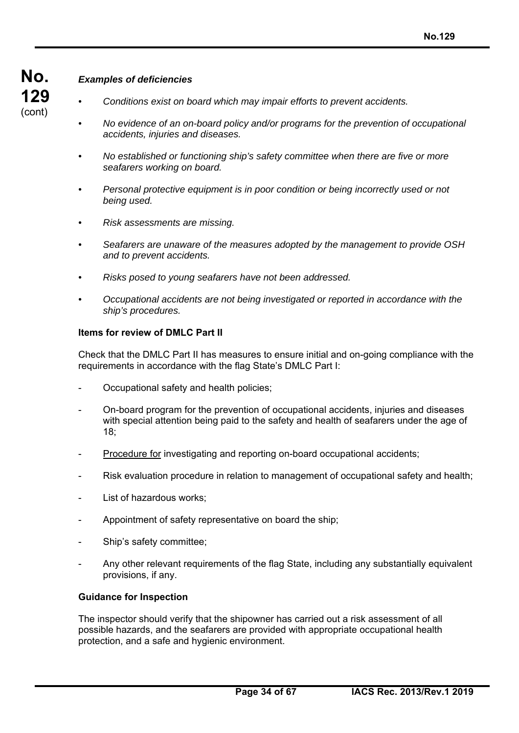# *Examples of deficiencies*

- *Conditions exist on board which may impair efforts to prevent accidents.*
- *No evidence of an on-board policy and/or programs for the prevention of occupational accidents, injuries and diseases.*
- *No established or functioning ship's safety committee when there are five or more seafarers working on board.*
- *Personal protective equipment is in poor condition or being incorrectly used or not being used.*
- *Risk assessments are missing.*
- *Seafarers are unaware of the measures adopted by the management to provide OSH and to prevent accidents.*
- *Risks posed to young seafarers have not been addressed.*
- *Occupational accidents are not being investigated or reported in accordance with the ship's procedures.*

#### **Items for review of DMLC Part II**

Check that the DMLC Part II has measures to ensure initial and on-going compliance with the requirements in accordance with the flag State's DMLC Part I:

- Occupational safety and health policies;
- On-board program for the prevention of occupational accidents, injuries and diseases with special attention being paid to the safety and health of seafarers under the age of 18;
- Procedure for investigating and reporting on-board occupational accidents;
- Risk evaluation procedure in relation to management of occupational safety and health;
- List of hazardous works;
- Appointment of safety representative on board the ship:
- Ship's safety committee;
- Any other relevant requirements of the flag State, including any substantially equivalent provisions, if any.

#### **Guidance for Inspection**

The inspector should verify that the shipowner has carried out a risk assessment of all possible hazards, and the seafarers are provided with appropriate occupational health protection, and a safe and hygienic environment.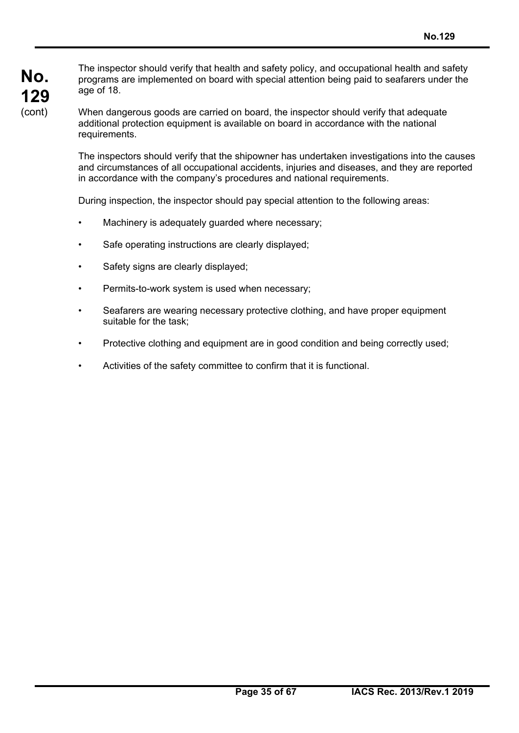The inspector should verify that health and safety policy, and occupational health and safety programs are implemented on board with special attention being paid to seafarers under the age of 18.

When dangerous goods are carried on board, the inspector should verify that adequate additional protection equipment is available on board in accordance with the national requirements.

The inspectors should verify that the shipowner has undertaken investigations into the causes and circumstances of all occupational accidents, injuries and diseases, and they are reported in accordance with the company's procedures and national requirements.

During inspection, the inspector should pay special attention to the following areas:

- Machinery is adequately guarded where necessary;
- Safe operating instructions are clearly displayed;
- Safety signs are clearly displayed;
- Permits-to-work system is used when necessary;
- Seafarers are wearing necessary protective clothing, and have proper equipment suitable for the task;
- Protective clothing and equipment are in good condition and being correctly used;
- Activities of the safety committee to confirm that it is functional.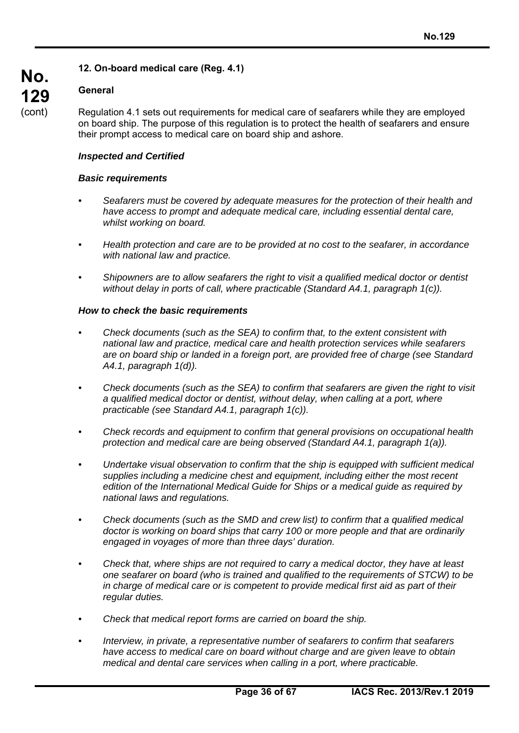# **12. On-board medical care (Reg. 4.1)**

## **General**

**No.** 

**129**  (cont)

Regulation 4.1 sets out requirements for medical care of seafarers while they are employed on board ship. The purpose of this regulation is to protect the health of seafarers and ensure their prompt access to medical care on board ship and ashore.

#### *Inspected and Certified*

#### *Basic requirements*

- *Seafarers must be covered by adequate measures for the protection of their health and have access to prompt and adequate medical care, including essential dental care, whilst working on board.*
- *Health protection and care are to be provided at no cost to the seafarer, in accordance with national law and practice.*
- *Shipowners are to allow seafarers the right to visit a qualified medical doctor or dentist without delay in ports of call, where practicable (Standard A4.1, paragraph 1(c)).*

#### *How to check the basic requirements*

- *Check documents (such as the SEA) to confirm that, to the extent consistent with national law and practice, medical care and health protection services while seafarers are on board ship or landed in a foreign port, are provided free of charge (see Standard A4.1, paragraph 1(d)).*
- *Check documents (such as the SEA) to confirm that seafarers are given the right to visit a qualified medical doctor or dentist, without delay, when calling at a port, where practicable (see Standard A4.1, paragraph 1(c)).*
- *Check records and equipment to confirm that general provisions on occupational health protection and medical care are being observed (Standard A4.1, paragraph 1(a)).*
- *Undertake visual observation to confirm that the ship is equipped with sufficient medical supplies including a medicine chest and equipment, including either the most recent edition of the International Medical Guide for Ships or a medical guide as required by national laws and regulations.*
- *Check documents (such as the SMD and crew list) to confirm that a qualified medical doctor is working on board ships that carry 100 or more people and that are ordinarily engaged in voyages of more than three days' duration.*
- *Check that, where ships are not required to carry a medical doctor, they have at least one seafarer on board (who is trained and qualified to the requirements of STCW) to be in charge of medical care or is competent to provide medical first aid as part of their regular duties.*
- *Check that medical report forms are carried on board the ship.*
- *Interview, in private, a representative number of seafarers to confirm that seafarers have access to medical care on board without charge and are given leave to obtain medical and dental care services when calling in a port, where practicable.*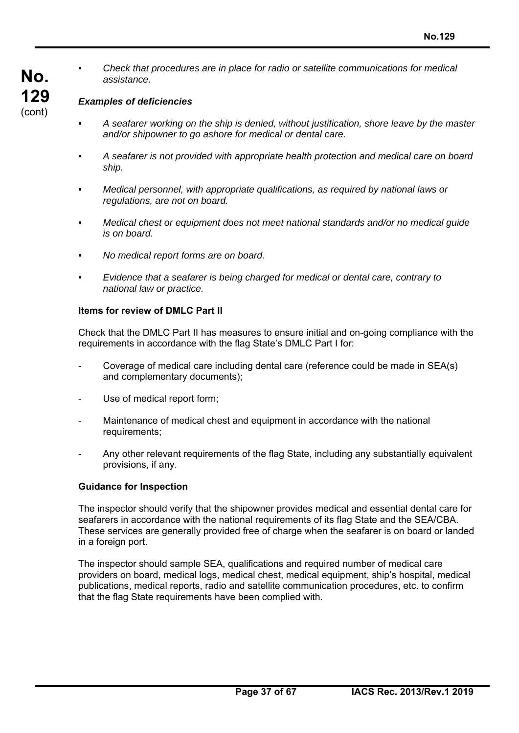*• Check that procedures are in place for radio or satellite communications for medical assistance.* 

#### *Examples of deficiencies*

- *A seafarer working on the ship is denied, without justification, shore leave by the master and/or shipowner to go ashore for medical or dental care.*
- *A seafarer is not provided with appropriate health protection and medical care on board ship.*
- *Medical personnel, with appropriate qualifications, as required by national laws or regulations, are not on board.*
- *Medical chest or equipment does not meet national standards and/or no medical guide is on board.*
- *No medical report forms are on board.*
- *Evidence that a seafarer is being charged for medical or dental care, contrary to national law or practice.*

#### **Items for review of DMLC Part II**

Check that the DMLC Part II has measures to ensure initial and on-going compliance with the requirements in accordance with the flag State's DMLC Part I for:

- Coverage of medical care including dental care (reference could be made in SEA(s) and complementary documents);
- Use of medical report form;
- Maintenance of medical chest and equipment in accordance with the national requirements;
- Any other relevant requirements of the flag State, including any substantially equivalent provisions, if any.

#### **Guidance for Inspection**

The inspector should verify that the shipowner provides medical and essential dental care for seafarers in accordance with the national requirements of its flag State and the SEA/CBA. These services are generally provided free of charge when the seafarer is on board or landed in a foreign port.

The inspector should sample SEA, qualifications and required number of medical care providers on board, medical logs, medical chest, medical equipment, ship's hospital, medical publications, medical reports, radio and satellite communication procedures, etc. to confirm that the flag State requirements have been complied with.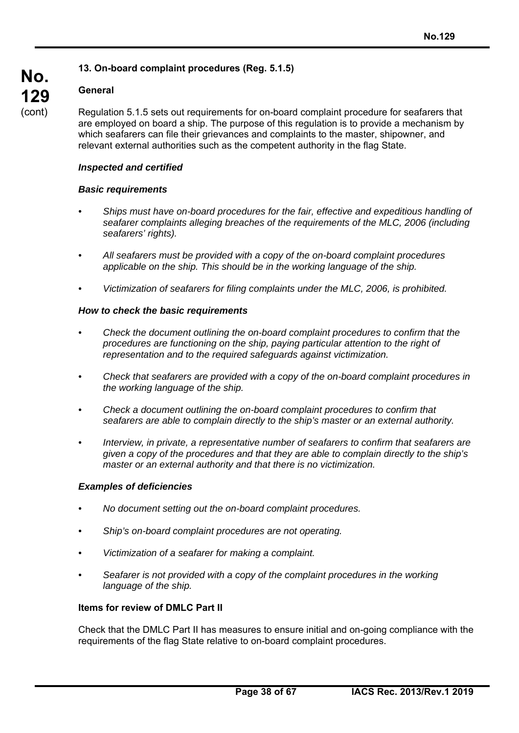# **13. On-board complaint procedures (Reg. 5.1.5)**

# **General**

**No.** 

**129**  (cont)

Regulation 5.1.5 sets out requirements for on-board complaint procedure for seafarers that are employed on board a ship. The purpose of this regulation is to provide a mechanism by which seafarers can file their grievances and complaints to the master, shipowner, and relevant external authorities such as the competent authority in the flag State.

## *Inspected and certified*

#### *Basic requirements*

- *Ships must have on-board procedures for the fair, effective and expeditious handling of seafarer complaints alleging breaches of the requirements of the MLC, 2006 (including seafarers' rights).*
- *All seafarers must be provided with a copy of the on-board complaint procedures applicable on the ship. This should be in the working language of the ship.*
- *Victimization of seafarers for filing complaints under the MLC, 2006, is prohibited.*

#### *How to check the basic requirements*

- *Check the document outlining the on-board complaint procedures to confirm that the procedures are functioning on the ship, paying particular attention to the right of representation and to the required safeguards against victimization.*
- *Check that seafarers are provided with a copy of the on-board complaint procedures in the working language of the ship.*
- *Check a document outlining the on-board complaint procedures to confirm that seafarers are able to complain directly to the ship's master or an external authority.*
- *Interview, in private, a representative number of seafarers to confirm that seafarers are given a copy of the procedures and that they are able to complain directly to the ship's master or an external authority and that there is no victimization.*

#### *Examples of deficiencies*

- *No document setting out the on-board complaint procedures.*
- *Ship's on-board complaint procedures are not operating.*
- *Victimization of a seafarer for making a complaint.*
- *Seafarer is not provided with a copy of the complaint procedures in the working language of the ship.*

#### **Items for review of DMLC Part II**

Check that the DMLC Part II has measures to ensure initial and on-going compliance with the requirements of the flag State relative to on-board complaint procedures.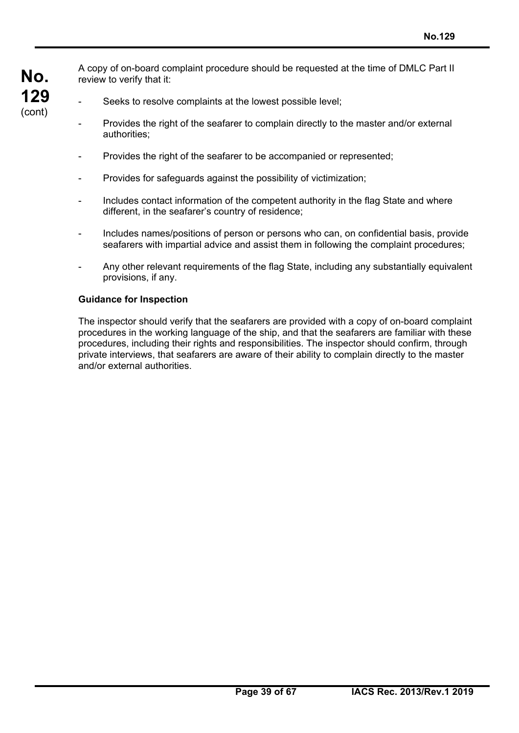**No. 129**  (cont)

A copy of on-board complaint procedure should be requested at the time of DMLC Part II review to verify that it:

- Seeks to resolve complaints at the lowest possible level:
- Provides the right of the seafarer to complain directly to the master and/or external authorities;
- Provides the right of the seafarer to be accompanied or represented;
- Provides for safeguards against the possibility of victimization;
- Includes contact information of the competent authority in the flag State and where different, in the seafarer's country of residence;
- Includes names/positions of person or persons who can, on confidential basis, provide seafarers with impartial advice and assist them in following the complaint procedures;
- Any other relevant requirements of the flag State, including any substantially equivalent provisions, if any.

#### **Guidance for Inspection**

The inspector should verify that the seafarers are provided with a copy of on-board complaint procedures in the working language of the ship, and that the seafarers are familiar with these procedures, including their rights and responsibilities. The inspector should confirm, through private interviews, that seafarers are aware of their ability to complain directly to the master and/or external authorities.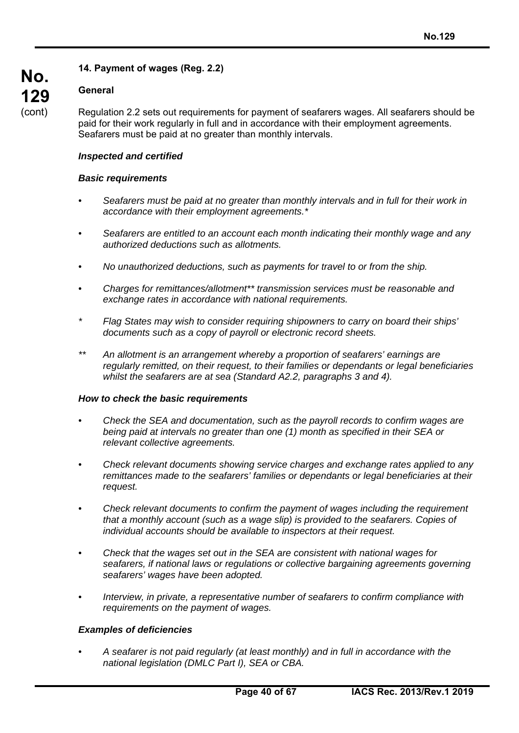# **14. Payment of wages (Reg. 2.2)**

## **General**

**No.** 

**129**  (cont)

Regulation 2.2 sets out requirements for payment of seafarers wages. All seafarers should be paid for their work regularly in full and in accordance with their employment agreements. Seafarers must be paid at no greater than monthly intervals.

#### *Inspected and certified*

#### *Basic requirements*

- *Seafarers must be paid at no greater than monthly intervals and in full for their work in accordance with their employment agreements.\**
- *Seafarers are entitled to an account each month indicating their monthly wage and any authorized deductions such as allotments.*
- *No unauthorized deductions, such as payments for travel to or from the ship.*
- *Charges for remittances/allotment\*\* transmission services must be reasonable and exchange rates in accordance with national requirements.*
- *\* Flag States may wish to consider requiring shipowners to carry on board their ships' documents such as a copy of payroll or electronic record sheets.*
- *\*\* An allotment is an arrangement whereby a proportion of seafarers' earnings are regularly remitted, on their request, to their families or dependants or legal beneficiaries whilst the seafarers are at sea (Standard A2.2, paragraphs 3 and 4).*

#### *How to check the basic requirements*

- *Check the SEA and documentation, such as the payroll records to confirm wages are being paid at intervals no greater than one (1) month as specified in their SEA or relevant collective agreements.*
- *Check relevant documents showing service charges and exchange rates applied to any remittances made to the seafarers' families or dependants or legal beneficiaries at their request.*
- *Check relevant documents to confirm the payment of wages including the requirement that a monthly account (such as a wage slip) is provided to the seafarers. Copies of individual accounts should be available to inspectors at their request.*
- *Check that the wages set out in the SEA are consistent with national wages for seafarers, if national laws or regulations or collective bargaining agreements governing seafarers' wages have been adopted.*
- *Interview, in private, a representative number of seafarers to confirm compliance with requirements on the payment of wages.*

## *Examples of deficiencies*

*• A seafarer is not paid regularly (at least monthly) and in full in accordance with the national legislation (DMLC Part I), SEA or CBA.*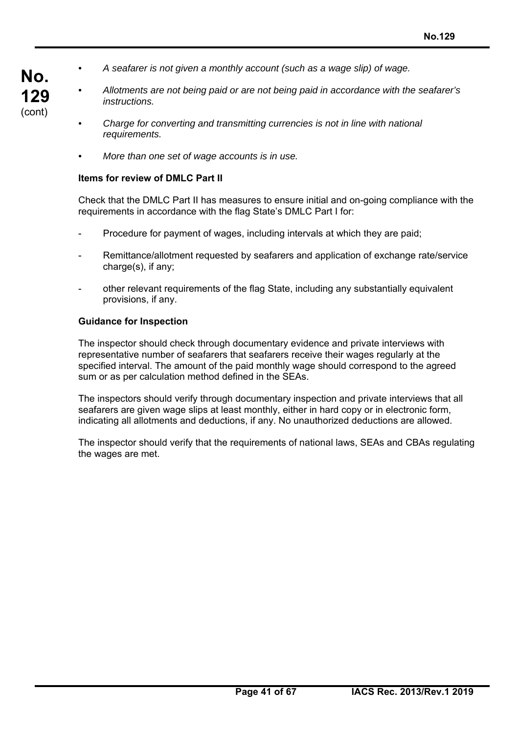- *A seafarer is not given a monthly account (such as a wage slip) of wage.*
- *Allotments are not being paid or are not being paid in accordance with the seafarer's instructions.*
- *Charge for converting and transmitting currencies is not in line with national requirements.*
- *More than one set of wage accounts is in use.*

#### **Items for review of DMLC Part II**

**No.** 

**129**  (cont)

> Check that the DMLC Part II has measures to ensure initial and on-going compliance with the requirements in accordance with the flag State's DMLC Part I for:

- Procedure for payment of wages, including intervals at which they are paid;
- Remittance/allotment requested by seafarers and application of exchange rate/service charge(s), if any;
- other relevant requirements of the flag State, including any substantially equivalent provisions, if any.

#### **Guidance for Inspection**

The inspector should check through documentary evidence and private interviews with representative number of seafarers that seafarers receive their wages regularly at the specified interval. The amount of the paid monthly wage should correspond to the agreed sum or as per calculation method defined in the SEAs.

The inspectors should verify through documentary inspection and private interviews that all seafarers are given wage slips at least monthly, either in hard copy or in electronic form, indicating all allotments and deductions, if any. No unauthorized deductions are allowed.

The inspector should verify that the requirements of national laws, SEAs and CBAs regulating the wages are met.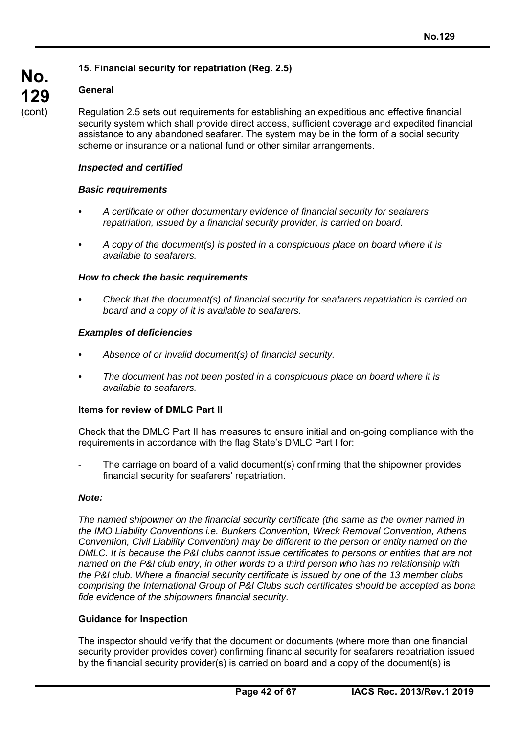## **15. Financial security for repatriation (Reg. 2.5)**

# **General**

**No.** 

**129**  (cont)

Regulation 2.5 sets out requirements for establishing an expeditious and effective financial security system which shall provide direct access, sufficient coverage and expedited financial assistance to any abandoned seafarer. The system may be in the form of a social security scheme or insurance or a national fund or other similar arrangements.

## *Inspected and certified*

#### *Basic requirements*

- *A certificate or other documentary evidence of financial security for seafarers repatriation, issued by a financial security provider, is carried on board.*
- *A copy of the document(s) is posted in a conspicuous place on board where it is available to seafarers.*

#### *How to check the basic requirements*

*• Check that the document(s) of financial security for seafarers repatriation is carried on board and a copy of it is available to seafarers.* 

#### *Examples of deficiencies*

- *Absence of or invalid document(s) of financial security.*
- *The document has not been posted in a conspicuous place on board where it is available to seafarers.*

# **Items for review of DMLC Part II**

Check that the DMLC Part II has measures to ensure initial and on-going compliance with the requirements in accordance with the flag State's DMLC Part I for:

The carriage on board of a valid document(s) confirming that the shipowner provides financial security for seafarers' repatriation.

#### *Note:*

*The named shipowner on the financial security certificate (the same as the owner named in the IMO Liability Conventions i.e. Bunkers Convention, Wreck Removal Convention, Athens Convention, Civil Liability Convention) may be different to the person or entity named on the DMLC. It is because the P&I clubs cannot issue certificates to persons or entities that are not named on the P&I club entry, in other words to a third person who has no relationship with the P&I club. Where a financial security certificate is issued by one of the 13 member clubs comprising the International Group of P&I Clubs such certificates should be accepted as bona fide evidence of the shipowners financial security.*

#### **Guidance for Inspection**

The inspector should verify that the document or documents (where more than one financial security provider provides cover) confirming financial security for seafarers repatriation issued by the financial security provider(s) is carried on board and a copy of the document(s) is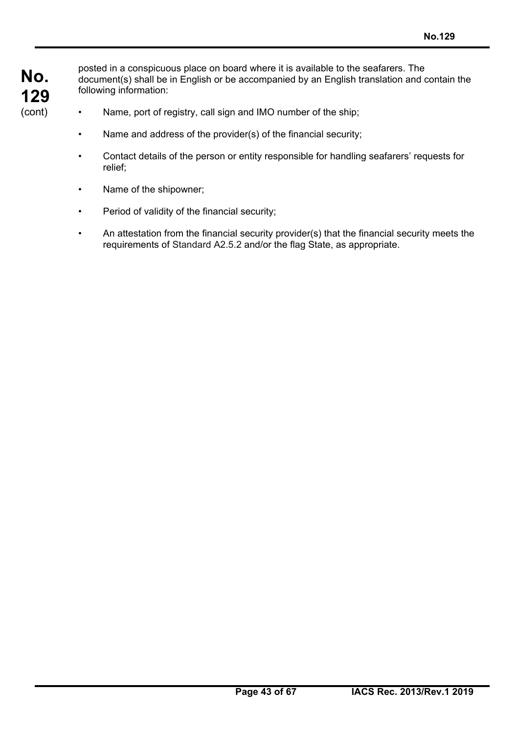posted in a conspicuous place on board where it is available to the seafarers. The document(s) shall be in English or be accompanied by an English translation and contain the following information:

- Name, port of registry, call sign and IMO number of the ship;
- Name and address of the provider(s) of the financial security;
- Contact details of the person or entity responsible for handling seafarers' requests for relief;
- Name of the shipowner;
- Period of validity of the financial security;
- An attestation from the financial security provider(s) that the financial security meets the requirements of Standard A2.5.2 and/or the flag State, as appropriate.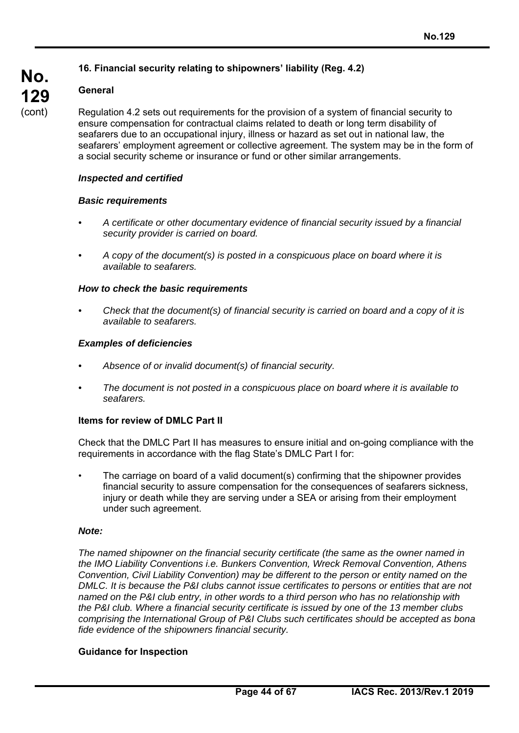# **16. Financial security relating to shipowners' liability (Reg. 4.2)**

# **General**

**No.** 

**129**  (cont)

Regulation 4.2 sets out requirements for the provision of a system of financial security to ensure compensation for contractual claims related to death or long term disability of seafarers due to an occupational injury, illness or hazard as set out in national law, the seafarers' employment agreement or collective agreement. The system may be in the form of a social security scheme or insurance or fund or other similar arrangements.

#### *Inspected and certified*

#### *Basic requirements*

- *A certificate or other documentary evidence of financial security issued by a financial security provider is carried on board.*
- *A copy of the document(s) is posted in a conspicuous place on board where it is available to seafarers.*

#### *How to check the basic requirements*

*• Check that the document(s) of financial security is carried on board and a copy of it is available to seafarers.* 

#### *Examples of deficiencies*

- *Absence of or invalid document(s) of financial security.*
- *The document is not posted in a conspicuous place on board where it is available to seafarers.*

## **Items for review of DMLC Part II**

Check that the DMLC Part II has measures to ensure initial and on-going compliance with the requirements in accordance with the flag State's DMLC Part I for:

• The carriage on board of a valid document(s) confirming that the shipowner provides financial security to assure compensation for the consequences of seafarers sickness, injury or death while they are serving under a SEA or arising from their employment under such agreement.

#### *Note:*

*The named shipowner on the financial security certificate (the same as the owner named in the IMO Liability Conventions i.e. Bunkers Convention, Wreck Removal Convention, Athens Convention, Civil Liability Convention) may be different to the person or entity named on the DMLC. It is because the P&I clubs cannot issue certificates to persons or entities that are not named on the P&I club entry, in other words to a third person who has no relationship with the P&I club. Where a financial security certificate is issued by one of the 13 member clubs comprising the International Group of P&I Clubs such certificates should be accepted as bona fide evidence of the shipowners financial security.* 

## **Guidance for Inspection**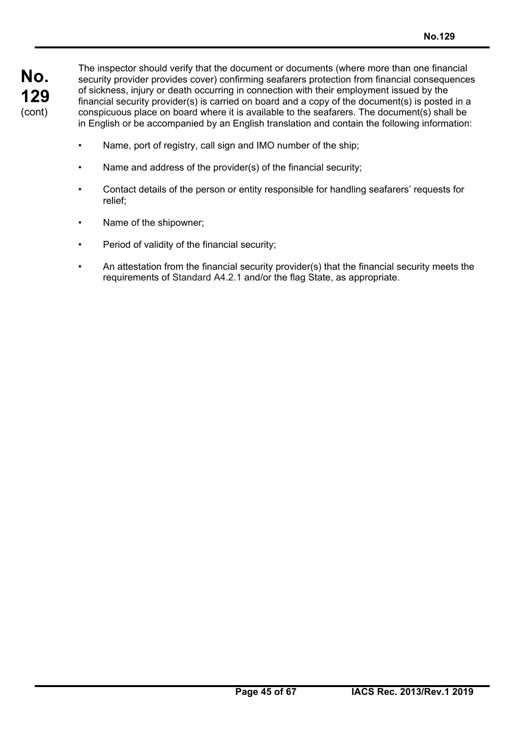The inspector should verify that the document or documents (where more than one financial security provider provides cover) confirming seafarers protection from financial consequences of sickness, injury or death occurring in connection with their employment issued by the financial security provider(s) is carried on board and a copy of the document(s) is posted in a conspicuous place on board where it is available to the seafarers. The document(s) shall be in English or be accompanied by an English translation and contain the following information:

- Name, port of registry, call sign and IMO number of the ship;
- Name and address of the provider(s) of the financial security;
- Contact details of the person or entity responsible for handling seafarers' requests for relief;
- Name of the shipowner;
- Period of validity of the financial security;
- An attestation from the financial security provider(s) that the financial security meets the requirements of Standard A4.2.1 and/or the flag State, as appropriate.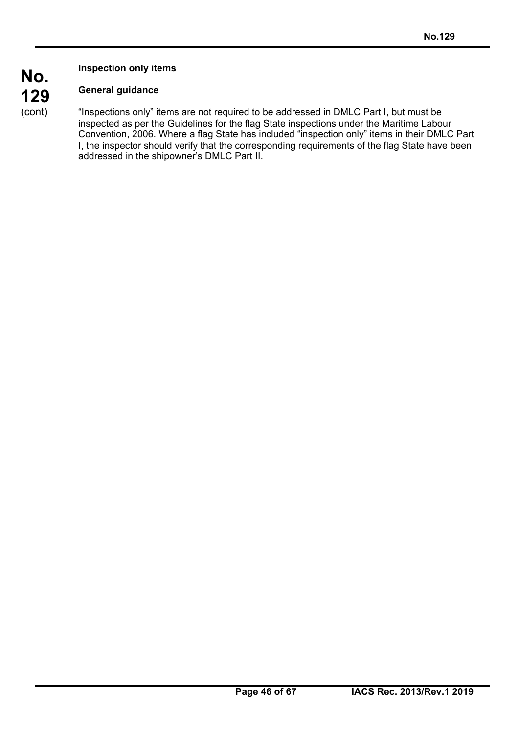**Inspection only items** 

# **General guidance**

**No.** 

**129**  (cont)

"Inspections only" items are not required to be addressed in DMLC Part I, but must be inspected as per the Guidelines for the flag State inspections under the Maritime Labour Convention, 2006. Where a flag State has included "inspection only" items in their DMLC Part I, the inspector should verify that the corresponding requirements of the flag State have been addressed in the shipowner's DMLC Part II.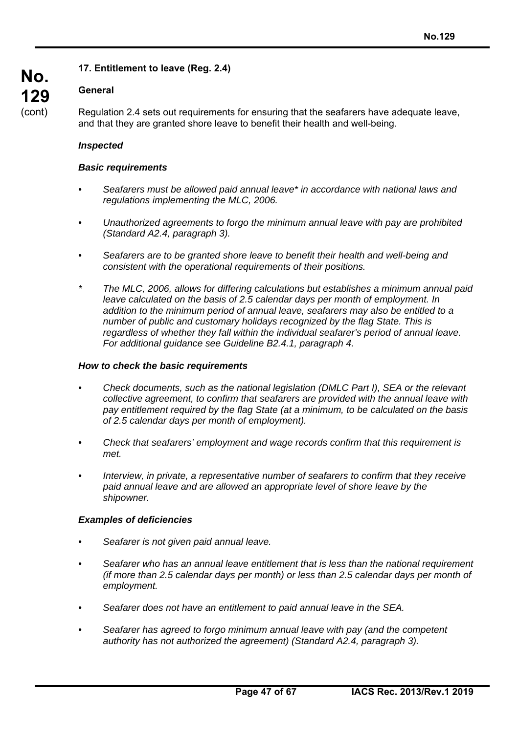# **17. Entitlement to leave (Reg. 2.4)**

# **General**

**No.** 

**129** 

(cont)

Regulation 2.4 sets out requirements for ensuring that the seafarers have adequate leave, and that they are granted shore leave to benefit their health and well-being.

## *Inspected*

#### *Basic requirements*

- *Seafarers must be allowed paid annual leave\* in accordance with national laws and regulations implementing the MLC, 2006.*
- *Unauthorized agreements to forgo the minimum annual leave with pay are prohibited (Standard A2.4, paragraph 3).*
- *Seafarers are to be granted shore leave to benefit their health and well-being and consistent with the operational requirements of their positions.*
- *\* The MLC, 2006, allows for differing calculations but establishes a minimum annual paid leave calculated on the basis of 2.5 calendar days per month of employment. In addition to the minimum period of annual leave, seafarers may also be entitled to a number of public and customary holidays recognized by the flag State. This is regardless of whether they fall within the individual seafarer's period of annual leave. For additional guidance see Guideline B2.4.1, paragraph 4.*

#### *How to check the basic requirements*

- *Check documents, such as the national legislation (DMLC Part I), SEA or the relevant collective agreement, to confirm that seafarers are provided with the annual leave with pay entitlement required by the flag State (at a minimum, to be calculated on the basis of 2.5 calendar days per month of employment).*
- *Check that seafarers' employment and wage records confirm that this requirement is met.*
- *Interview, in private, a representative number of seafarers to confirm that they receive paid annual leave and are allowed an appropriate level of shore leave by the shipowner.*

#### *Examples of deficiencies*

- *Seafarer is not given paid annual leave.*
- *Seafarer who has an annual leave entitlement that is less than the national requirement (if more than 2.5 calendar days per month) or less than 2.5 calendar days per month of employment.*
- *Seafarer does not have an entitlement to paid annual leave in the SEA.*
- *Seafarer has agreed to forgo minimum annual leave with pay (and the competent authority has not authorized the agreement) (Standard A2.4, paragraph 3).*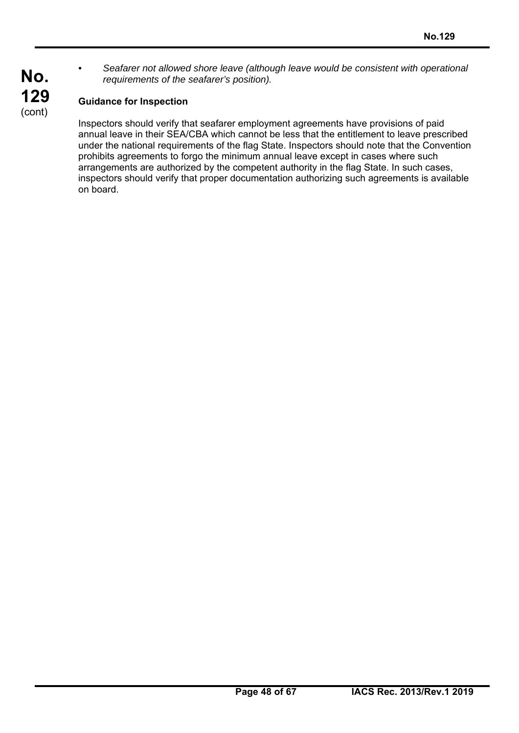*• Seafarer not allowed shore leave (although leave would be consistent with operational requirements of the seafarer's position).* 

# **Guidance for Inspection**

**No.** 

**129**  (cont)

> Inspectors should verify that seafarer employment agreements have provisions of paid annual leave in their SEA/CBA which cannot be less that the entitlement to leave prescribed under the national requirements of the flag State. Inspectors should note that the Convention prohibits agreements to forgo the minimum annual leave except in cases where such arrangements are authorized by the competent authority in the flag State. In such cases, inspectors should verify that proper documentation authorizing such agreements is available on board.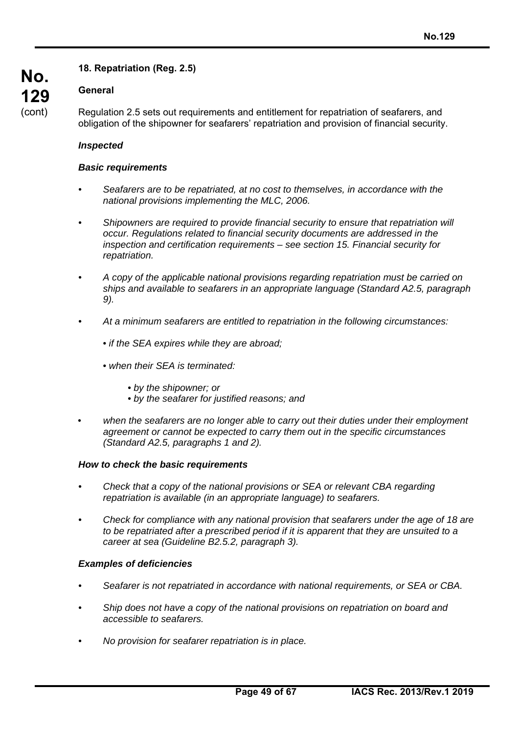# **18. Repatriation (Reg. 2.5)**

# **General**

**No.** 

**129**  (cont)

Regulation 2.5 sets out requirements and entitlement for repatriation of seafarers, and obligation of the shipowner for seafarers' repatriation and provision of financial security.

#### *Inspected*

#### *Basic requirements*

- *Seafarers are to be repatriated, at no cost to themselves, in accordance with the national provisions implementing the MLC, 2006.*
- *Shipowners are required to provide financial security to ensure that repatriation will occur. Regulations related to financial security documents are addressed in the inspection and certification requirements – see section 15. Financial security for repatriation.*
- *A copy of the applicable national provisions regarding repatriation must be carried on ships and available to seafarers in an appropriate language (Standard A2.5, paragraph 9).*
- *At a minimum seafarers are entitled to repatriation in the following circumstances:* 
	- *if the SEA expires while they are abroad;*
	- *when their SEA is terminated:* 
		- *by the shipowner; or*
		- *by the seafarer for justified reasons; and*
- *when the seafarers are no longer able to carry out their duties under their employment agreement or cannot be expected to carry them out in the specific circumstances (Standard A2.5, paragraphs 1 and 2).*

#### *How to check the basic requirements*

- *Check that a copy of the national provisions or SEA or relevant CBA regarding repatriation is available (in an appropriate language) to seafarers.*
- *Check for compliance with any national provision that seafarers under the age of 18 are to be repatriated after a prescribed period if it is apparent that they are unsuited to a career at sea (Guideline B2.5.2, paragraph 3).*

#### *Examples of deficiencies*

- *Seafarer is not repatriated in accordance with national requirements, or SEA or CBA.*
- *Ship does not have a copy of the national provisions on repatriation on board and accessible to seafarers.*
- *No provision for seafarer repatriation is in place.*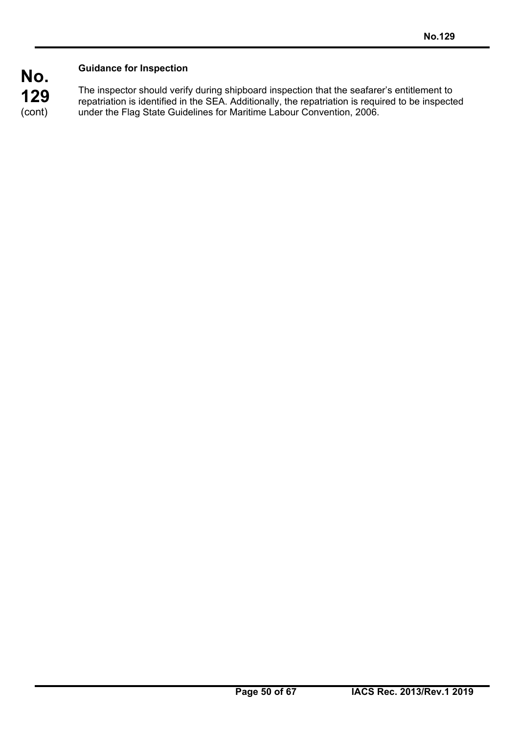# **Guidance for Inspection**

**No.** 

**129**  (cont)

The inspector should verify during shipboard inspection that the seafarer's entitlement to repatriation is identified in the SEA. Additionally, the repatriation is required to be inspected under the Flag State Guidelines for Maritime Labour Convention, 2006.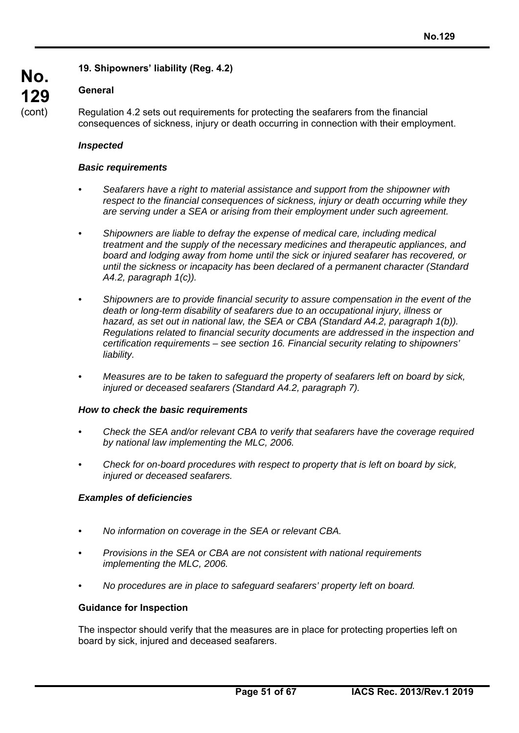# **19. Shipowners' liability (Reg. 4.2)**

# **General**

**No.** 

**129**  (cont)

Regulation 4.2 sets out requirements for protecting the seafarers from the financial consequences of sickness, injury or death occurring in connection with their employment.

## *Inspected*

#### *Basic requirements*

- *Seafarers have a right to material assistance and support from the shipowner with respect to the financial consequences of sickness, injury or death occurring while they are serving under a SEA or arising from their employment under such agreement.*
- *Shipowners are liable to defray the expense of medical care, including medical treatment and the supply of the necessary medicines and therapeutic appliances, and board and lodging away from home until the sick or injured seafarer has recovered, or until the sickness or incapacity has been declared of a permanent character (Standard A4.2, paragraph 1(c)).*
- *Shipowners are to provide financial security to assure compensation in the event of the death or long-term disability of seafarers due to an occupational injury, illness or*  hazard, as set out in national law, the SEA or CBA (Standard A4.2, paragraph 1(b)). *Regulations related to financial security documents are addressed in the inspection and certification requirements – see section 16. Financial security relating to shipowners' liability.*
- *Measures are to be taken to safeguard the property of seafarers left on board by sick, injured or deceased seafarers (Standard A4.2, paragraph 7).*

#### *How to check the basic requirements*

- *Check the SEA and/or relevant CBA to verify that seafarers have the coverage required by national law implementing the MLC, 2006.*
- *Check for on-board procedures with respect to property that is left on board by sick, injured or deceased seafarers.*

#### *Examples of deficiencies*

- *No information on coverage in the SEA or relevant CBA.*
- *Provisions in the SEA or CBA are not consistent with national requirements implementing the MLC, 2006.*
- *No procedures are in place to safeguard seafarers' property left on board.*

#### **Guidance for Inspection**

The inspector should verify that the measures are in place for protecting properties left on board by sick, injured and deceased seafarers.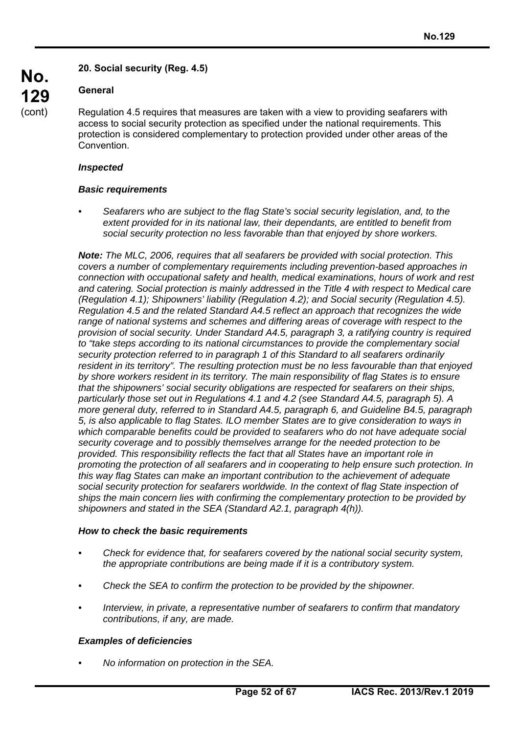# **20. Social security (Reg. 4.5)**

## **General**

Regulation 4.5 requires that measures are taken with a view to providing seafarers with access to social security protection as specified under the national requirements. This protection is considered complementary to protection provided under other areas of the Convention.

#### *Inspected*

#### *Basic requirements*

*• Seafarers who are subject to the flag State's social security legislation, and, to the extent provided for in its national law, their dependants, are entitled to benefit from social security protection no less favorable than that enjoyed by shore workers.* 

*Note: The MLC, 2006, requires that all seafarers be provided with social protection. This covers a number of complementary requirements including prevention-based approaches in connection with occupational safety and health, medical examinations, hours of work and rest and catering. Social protection is mainly addressed in the Title 4 with respect to Medical care (Regulation 4.1); Shipowners' liability (Regulation 4.2); and Social security (Regulation 4.5). Regulation 4.5 and the related Standard A4.5 reflect an approach that recognizes the wide range of national systems and schemes and differing areas of coverage with respect to the provision of social security. Under Standard A4.5, paragraph 3, a ratifying country is required to "take steps according to its national circumstances to provide the complementary social security protection referred to in paragraph 1 of this Standard to all seafarers ordinarily resident in its territory". The resulting protection must be no less favourable than that enjoyed by shore workers resident in its territory. The main responsibility of flag States is to ensure that the shipowners' social security obligations are respected for seafarers on their ships, particularly those set out in Regulations 4.1 and 4.2 (see Standard A4.5, paragraph 5). A more general duty, referred to in Standard A4.5, paragraph 6, and Guideline B4.5, paragraph 5, is also applicable to flag States. ILO member States are to give consideration to ways in which comparable benefits could be provided to seafarers who do not have adequate social security coverage and to possibly themselves arrange for the needed protection to be provided. This responsibility reflects the fact that all States have an important role in promoting the protection of all seafarers and in cooperating to help ensure such protection. In this way flag States can make an important contribution to the achievement of adequate social security protection for seafarers worldwide. In the context of flag State inspection of ships the main concern lies with confirming the complementary protection to be provided by shipowners and stated in the SEA (Standard A2.1, paragraph 4(h)).* 

#### *How to check the basic requirements*

- *Check for evidence that, for seafarers covered by the national social security system, the appropriate contributions are being made if it is a contributory system.*
- *Check the SEA to confirm the protection to be provided by the shipowner.*
- *Interview, in private, a representative number of seafarers to confirm that mandatory contributions, if any, are made.*

## *Examples of deficiencies*

*• No information on protection in the SEA.*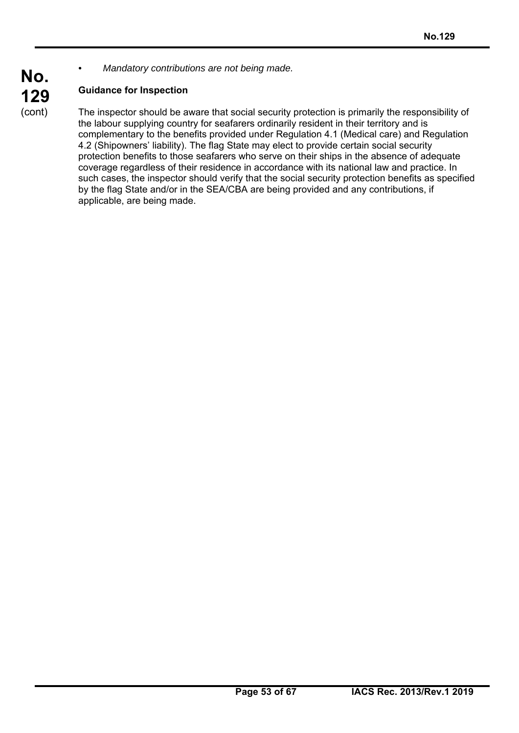*• Mandatory contributions are not being made.* 

# **Guidance for Inspection**

The inspector should be aware that social security protection is primarily the responsibility of the labour supplying country for seafarers ordinarily resident in their territory and is complementary to the benefits provided under Regulation 4.1 (Medical care) and Regulation 4.2 (Shipowners' liability). The flag State may elect to provide certain social security protection benefits to those seafarers who serve on their ships in the absence of adequate coverage regardless of their residence in accordance with its national law and practice. In such cases, the inspector should verify that the social security protection benefits as specified by the flag State and/or in the SEA/CBA are being provided and any contributions, if applicable, are being made.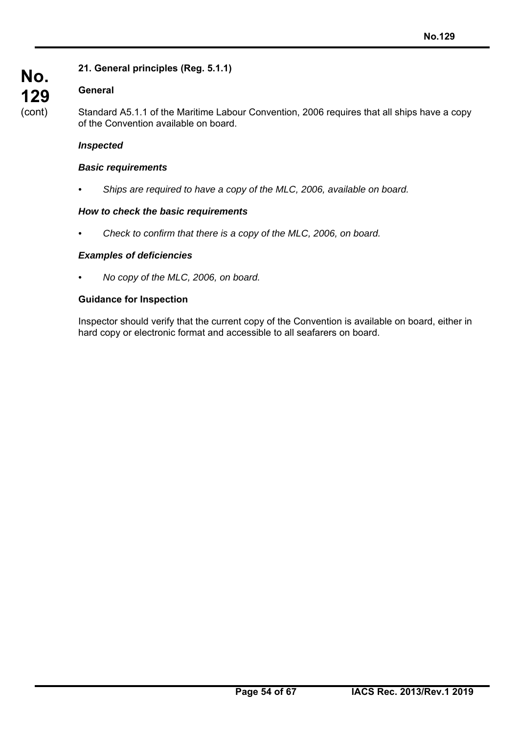# **No. 129**  (cont)

# **21. General principles (Reg. 5.1.1)**

# **General**

Standard A5.1.1 of the Maritime Labour Convention, 2006 requires that all ships have a copy of the Convention available on board.

## *Inspected*

#### *Basic requirements*

*• Ships are required to have a copy of the MLC, 2006, available on board.* 

## *How to check the basic requirements*

*• Check to confirm that there is a copy of the MLC, 2006, on board.* 

#### *Examples of deficiencies*

*• No copy of the MLC, 2006, on board.* 

#### **Guidance for Inspection**

Inspector should verify that the current copy of the Convention is available on board, either in hard copy or electronic format and accessible to all seafarers on board.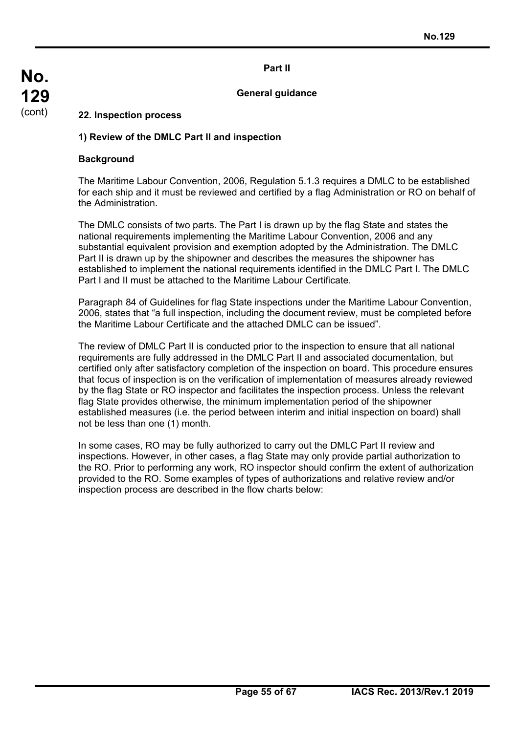#### **Part II**

#### **General guidance**

#### **22. Inspection process**

#### **1) Review of the DMLC Part II and inspection**

#### **Background**

The Maritime Labour Convention, 2006, Regulation 5.1.3 requires a DMLC to be established for each ship and it must be reviewed and certified by a flag Administration or RO on behalf of the Administration.

The DMLC consists of two parts. The Part I is drawn up by the flag State and states the national requirements implementing the Maritime Labour Convention, 2006 and any substantial equivalent provision and exemption adopted by the Administration. The DMLC Part II is drawn up by the shipowner and describes the measures the shipowner has established to implement the national requirements identified in the DMLC Part I. The DMLC Part I and II must be attached to the Maritime Labour Certificate.

Paragraph 84 of Guidelines for flag State inspections under the Maritime Labour Convention, 2006, states that "a full inspection, including the document review, must be completed before the Maritime Labour Certificate and the attached DMLC can be issued".

The review of DMLC Part II is conducted prior to the inspection to ensure that all national requirements are fully addressed in the DMLC Part II and associated documentation, but certified only after satisfactory completion of the inspection on board. This procedure ensures that focus of inspection is on the verification of implementation of measures already reviewed by the flag State or RO inspector and facilitates the inspection process. Unless the relevant flag State provides otherwise, the minimum implementation period of the shipowner established measures (i.e. the period between interim and initial inspection on board) shall not be less than one (1) month.

In some cases, RO may be fully authorized to carry out the DMLC Part II review and inspections. However, in other cases, a flag State may only provide partial authorization to the RO. Prior to performing any work, RO inspector should confirm the extent of authorization provided to the RO. Some examples of types of authorizations and relative review and/or inspection process are described in the flow charts below: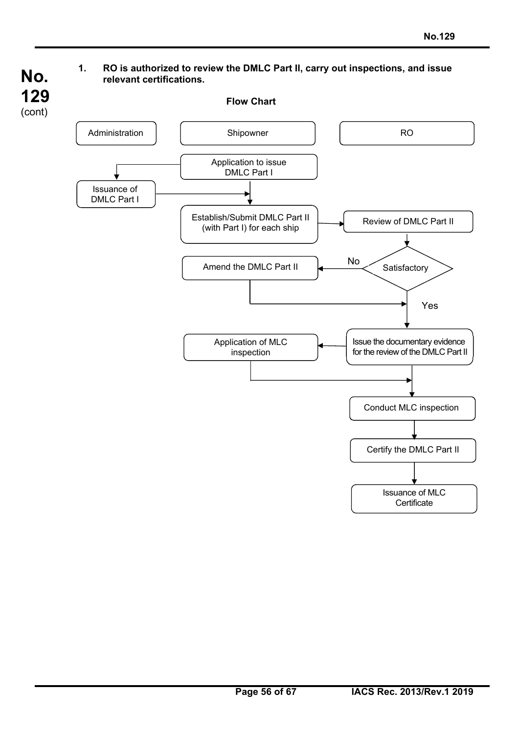- **No. 129**  (cont)
- **1. RO is authorized to review the DMLC Part II, carry out inspections, and issue relevant certifications.**

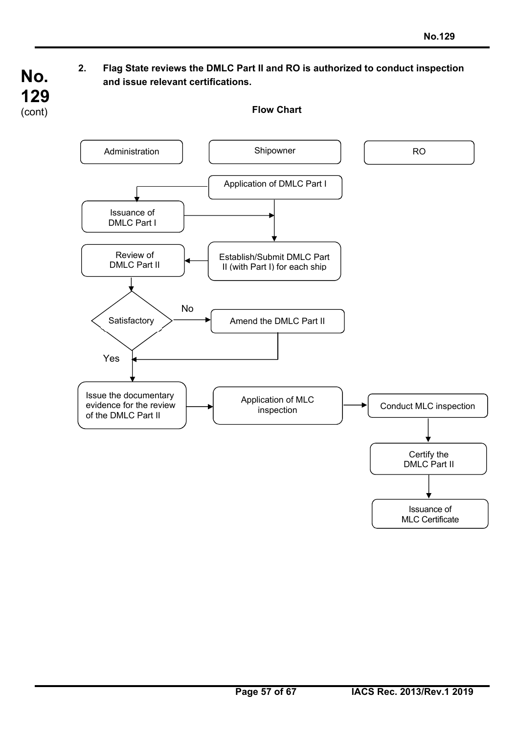# **2. Flag State reviews the DMLC Part II and RO is authorized to conduct inspection and issue relevant certifications.**

**No.** 

**129**  (cont)

**Flow Chart** 

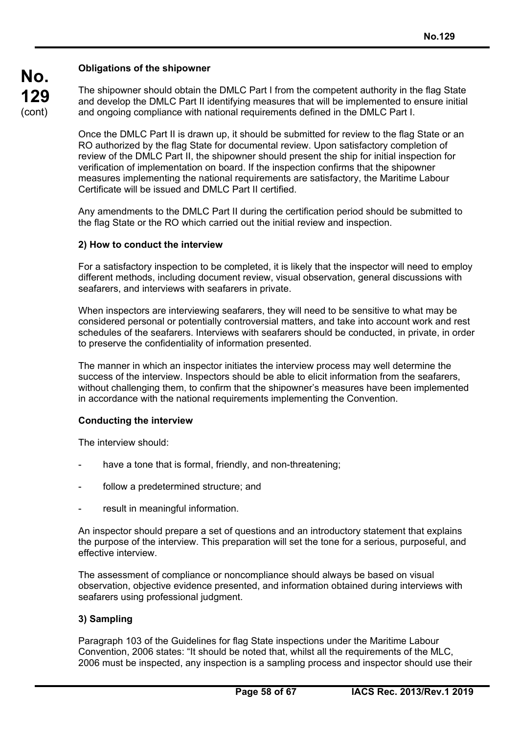#### **Obligations of the shipowner**

**No.** 

**129**  (cont)

The shipowner should obtain the DMLC Part I from the competent authority in the flag State and develop the DMLC Part II identifying measures that will be implemented to ensure initial and ongoing compliance with national requirements defined in the DMLC Part I.

Once the DMLC Part II is drawn up, it should be submitted for review to the flag State or an RO authorized by the flag State for documental review. Upon satisfactory completion of review of the DMLC Part II, the shipowner should present the ship for initial inspection for verification of implementation on board. If the inspection confirms that the shipowner measures implementing the national requirements are satisfactory, the Maritime Labour Certificate will be issued and DMLC Part II certified.

Any amendments to the DMLC Part II during the certification period should be submitted to the flag State or the RO which carried out the initial review and inspection.

#### **2) How to conduct the interview**

For a satisfactory inspection to be completed, it is likely that the inspector will need to employ different methods, including document review, visual observation, general discussions with seafarers, and interviews with seafarers in private.

When inspectors are interviewing seafarers, they will need to be sensitive to what may be considered personal or potentially controversial matters, and take into account work and rest schedules of the seafarers. Interviews with seafarers should be conducted, in private, in order to preserve the confidentiality of information presented.

The manner in which an inspector initiates the interview process may well determine the success of the interview. Inspectors should be able to elicit information from the seafarers, without challenging them, to confirm that the shipowner's measures have been implemented in accordance with the national requirements implementing the Convention.

## **Conducting the interview**

The interview should:

- have a tone that is formal, friendly, and non-threatening;
- follow a predetermined structure; and
- result in meaningful information.

An inspector should prepare a set of questions and an introductory statement that explains the purpose of the interview. This preparation will set the tone for a serious, purposeful, and effective interview.

The assessment of compliance or noncompliance should always be based on visual observation, objective evidence presented, and information obtained during interviews with seafarers using professional judgment.

#### **3) Sampling**

Paragraph 103 of the Guidelines for flag State inspections under the Maritime Labour Convention, 2006 states: "It should be noted that, whilst all the requirements of the MLC, 2006 must be inspected, any inspection is a sampling process and inspector should use their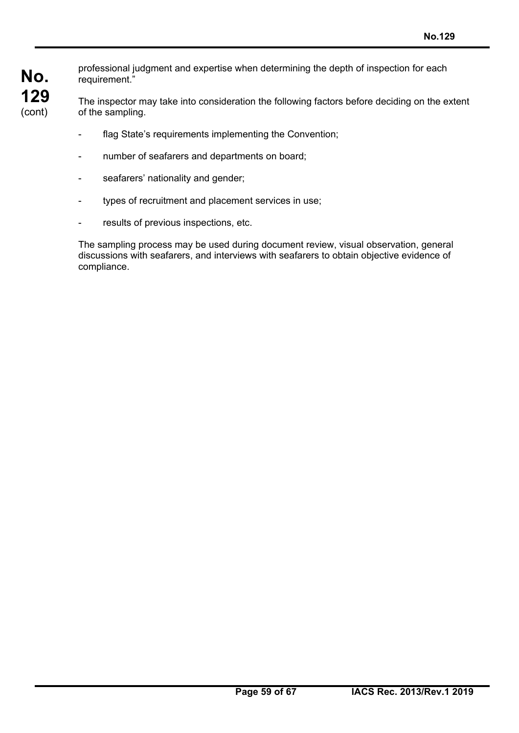**No. 129**  (cont)

professional judgment and expertise when determining the depth of inspection for each requirement."

The inspector may take into consideration the following factors before deciding on the extent of the sampling.

- flag State's requirements implementing the Convention;
- number of seafarers and departments on board;
- seafarers' nationality and gender;
- types of recruitment and placement services in use;
- results of previous inspections, etc.

The sampling process may be used during document review, visual observation, general discussions with seafarers, and interviews with seafarers to obtain objective evidence of compliance.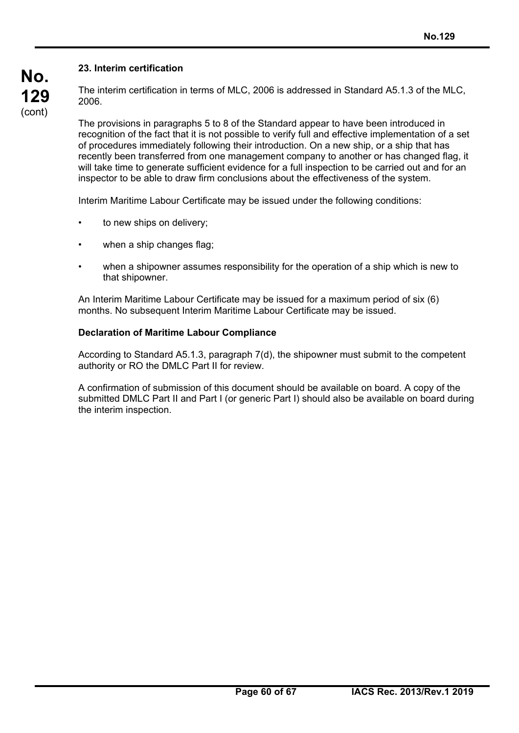# **No. 129**  (cont)

# **23. Interim certification**

The interim certification in terms of MLC, 2006 is addressed in Standard A5.1.3 of the MLC, 2006.

The provisions in paragraphs 5 to 8 of the Standard appear to have been introduced in recognition of the fact that it is not possible to verify full and effective implementation of a set of procedures immediately following their introduction. On a new ship, or a ship that has recently been transferred from one management company to another or has changed flag, it will take time to generate sufficient evidence for a full inspection to be carried out and for an inspector to be able to draw firm conclusions about the effectiveness of the system.

Interim Maritime Labour Certificate may be issued under the following conditions:

- to new ships on delivery;
- when a ship changes flag;
- when a shipowner assumes responsibility for the operation of a ship which is new to that shipowner.

An Interim Maritime Labour Certificate may be issued for a maximum period of six (6) months. No subsequent Interim Maritime Labour Certificate may be issued.

## **Declaration of Maritime Labour Compliance**

According to Standard A5.1.3, paragraph 7(d), the shipowner must submit to the competent authority or RO the DMLC Part II for review.

A confirmation of submission of this document should be available on board. A copy of the submitted DMLC Part II and Part I (or generic Part I) should also be available on board during the interim inspection.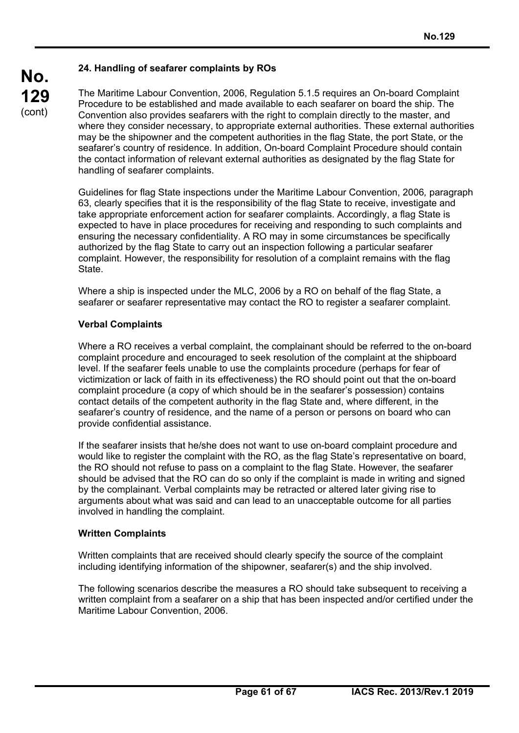## **24. Handling of seafarer complaints by ROs**

The Maritime Labour Convention, 2006, Regulation 5.1.5 requires an On-board Complaint Procedure to be established and made available to each seafarer on board the ship. The Convention also provides seafarers with the right to complain directly to the master, and where they consider necessary, to appropriate external authorities. These external authorities may be the shipowner and the competent authorities in the flag State, the port State, or the seafarer's country of residence. In addition, On-board Complaint Procedure should contain the contact information of relevant external authorities as designated by the flag State for handling of seafarer complaints.

Guidelines for flag State inspections under the Maritime Labour Convention, 2006*,* paragraph 63, clearly specifies that it is the responsibility of the flag State to receive, investigate and take appropriate enforcement action for seafarer complaints. Accordingly, a flag State is expected to have in place procedures for receiving and responding to such complaints and ensuring the necessary confidentiality. A RO may in some circumstances be specifically authorized by the flag State to carry out an inspection following a particular seafarer complaint. However, the responsibility for resolution of a complaint remains with the flag State.

Where a ship is inspected under the MLC, 2006 by a RO on behalf of the flag State, a seafarer or seafarer representative may contact the RO to register a seafarer complaint.

#### **Verbal Complaints**

Where a RO receives a verbal complaint, the complainant should be referred to the on-board complaint procedure and encouraged to seek resolution of the complaint at the shipboard level. If the seafarer feels unable to use the complaints procedure (perhaps for fear of victimization or lack of faith in its effectiveness) the RO should point out that the on-board complaint procedure (a copy of which should be in the seafarer's possession) contains contact details of the competent authority in the flag State and, where different, in the seafarer's country of residence, and the name of a person or persons on board who can provide confidential assistance.

If the seafarer insists that he/she does not want to use on-board complaint procedure and would like to register the complaint with the RO, as the flag State's representative on board, the RO should not refuse to pass on a complaint to the flag State. However, the seafarer should be advised that the RO can do so only if the complaint is made in writing and signed by the complainant. Verbal complaints may be retracted or altered later giving rise to arguments about what was said and can lead to an unacceptable outcome for all parties involved in handling the complaint.

#### **Written Complaints**

Written complaints that are received should clearly specify the source of the complaint including identifying information of the shipowner, seafarer(s) and the ship involved.

The following scenarios describe the measures a RO should take subsequent to receiving a written complaint from a seafarer on a ship that has been inspected and/or certified under the Maritime Labour Convention, 2006.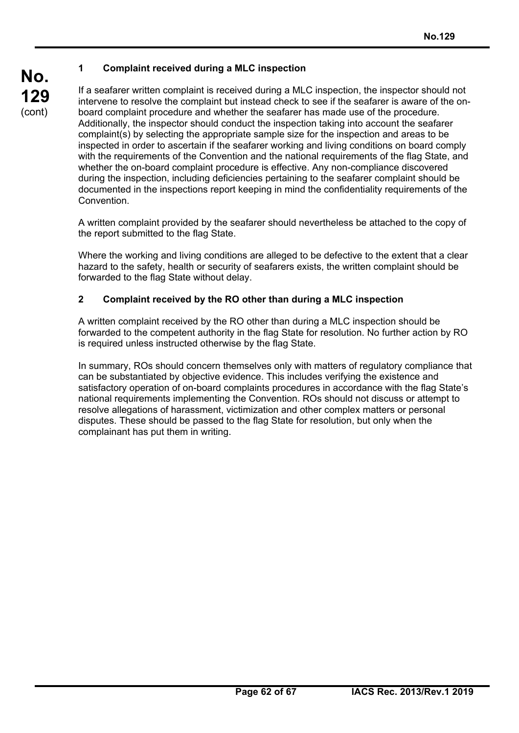# **1 Complaint received during a MLC inspection**

If a seafarer written complaint is received during a MLC inspection, the inspector should not intervene to resolve the complaint but instead check to see if the seafarer is aware of the onboard complaint procedure and whether the seafarer has made use of the procedure. Additionally, the inspector should conduct the inspection taking into account the seafarer complaint(s) by selecting the appropriate sample size for the inspection and areas to be inspected in order to ascertain if the seafarer working and living conditions on board comply with the requirements of the Convention and the national requirements of the flag State, and whether the on-board complaint procedure is effective. Any non-compliance discovered during the inspection, including deficiencies pertaining to the seafarer complaint should be documented in the inspections report keeping in mind the confidentiality requirements of the **Convention** 

A written complaint provided by the seafarer should nevertheless be attached to the copy of the report submitted to the flag State.

Where the working and living conditions are alleged to be defective to the extent that a clear hazard to the safety, health or security of seafarers exists, the written complaint should be forwarded to the flag State without delay.

## **2 Complaint received by the RO other than during a MLC inspection**

A written complaint received by the RO other than during a MLC inspection should be forwarded to the competent authority in the flag State for resolution. No further action by RO is required unless instructed otherwise by the flag State.

In summary, ROs should concern themselves only with matters of regulatory compliance that can be substantiated by objective evidence. This includes verifying the existence and satisfactory operation of on-board complaints procedures in accordance with the flag State's national requirements implementing the Convention. ROs should not discuss or attempt to resolve allegations of harassment, victimization and other complex matters or personal disputes. These should be passed to the flag State for resolution, but only when the complainant has put them in writing.

**No.**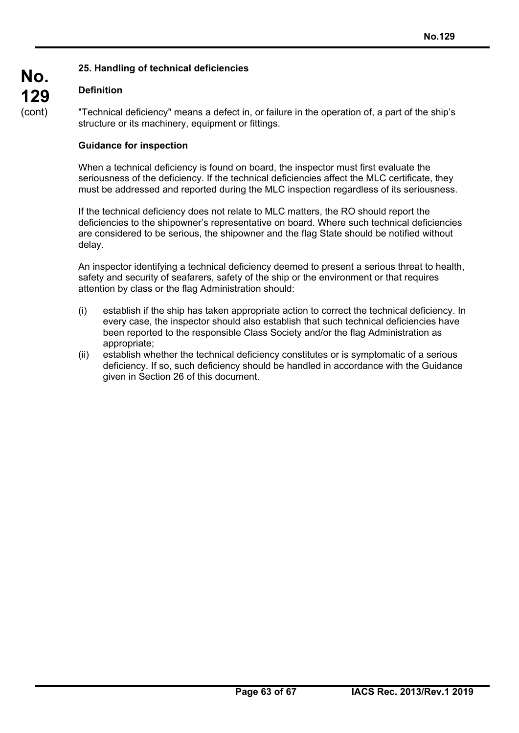# **25. Handling of technical deficiencies**

# **Definition**

"Technical deficiency" means a defect in, or failure in the operation of, a part of the ship's structure or its machinery, equipment or fittings.

## **Guidance for inspection**

When a technical deficiency is found on board, the inspector must first evaluate the seriousness of the deficiency. If the technical deficiencies affect the MLC certificate, they must be addressed and reported during the MLC inspection regardless of its seriousness.

If the technical deficiency does not relate to MLC matters, the RO should report the deficiencies to the shipowner's representative on board. Where such technical deficiencies are considered to be serious, the shipowner and the flag State should be notified without delay.

An inspector identifying a technical deficiency deemed to present a serious threat to health, safety and security of seafarers, safety of the ship or the environment or that requires attention by class or the flag Administration should:

- (i) establish if the ship has taken appropriate action to correct the technical deficiency. In every case, the inspector should also establish that such technical deficiencies have been reported to the responsible Class Society and/or the flag Administration as appropriate;
- (ii) establish whether the technical deficiency constitutes or is symptomatic of a serious deficiency. If so, such deficiency should be handled in accordance with the Guidance given in Section 26 of this document.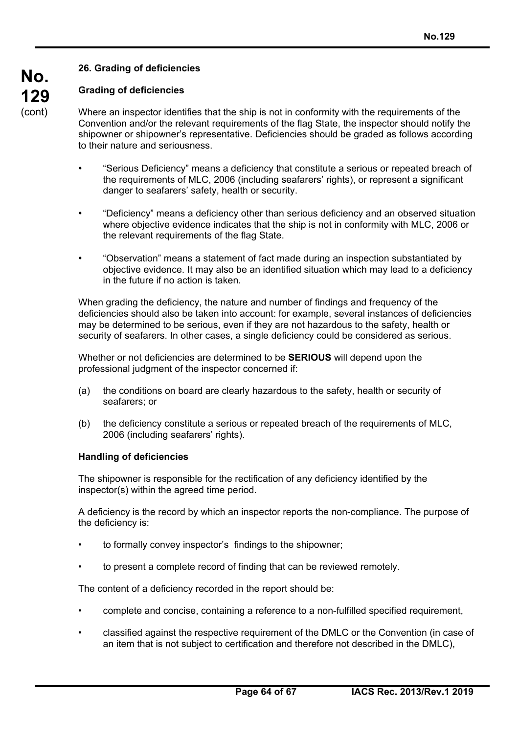## **26. Grading of deficiencies**

# **Grading of deficiencies**

Where an inspector identifies that the ship is not in conformity with the requirements of the Convention and/or the relevant requirements of the flag State, the inspector should notify the shipowner or shipowner's representative. Deficiencies should be graded as follows according to their nature and seriousness.

- "Serious Deficiency" means a deficiency that constitute a serious or repeated breach of the requirements of MLC, 2006 (including seafarers' rights), or represent a significant danger to seafarers' safety, health or security.
- "Deficiency" means a deficiency other than serious deficiency and an observed situation where objective evidence indicates that the ship is not in conformity with MLC, 2006 or the relevant requirements of the flag State.
- "Observation" means a statement of fact made during an inspection substantiated by objective evidence. It may also be an identified situation which may lead to a deficiency in the future if no action is taken.

When grading the deficiency, the nature and number of findings and frequency of the deficiencies should also be taken into account: for example, several instances of deficiencies may be determined to be serious, even if they are not hazardous to the safety, health or security of seafarers. In other cases, a single deficiency could be considered as serious.

Whether or not deficiencies are determined to be **SERIOUS** will depend upon the professional judgment of the inspector concerned if:

- (a) the conditions on board are clearly hazardous to the safety, health or security of seafarers; or
- (b) the deficiency constitute a serious or repeated breach of the requirements of MLC, 2006 (including seafarers' rights).

#### **Handling of deficiencies**

The shipowner is responsible for the rectification of any deficiency identified by the inspector(s) within the agreed time period.

A deficiency is the record by which an inspector reports the non-compliance. The purpose of the deficiency is:

- to formally convey inspector's findings to the shipowner;
- to present a complete record of finding that can be reviewed remotely.

The content of a deficiency recorded in the report should be:

- complete and concise, containing a reference to a non-fulfilled specified requirement,
- classified against the respective requirement of the DMLC or the Convention (in case of an item that is not subject to certification and therefore not described in the DMLC),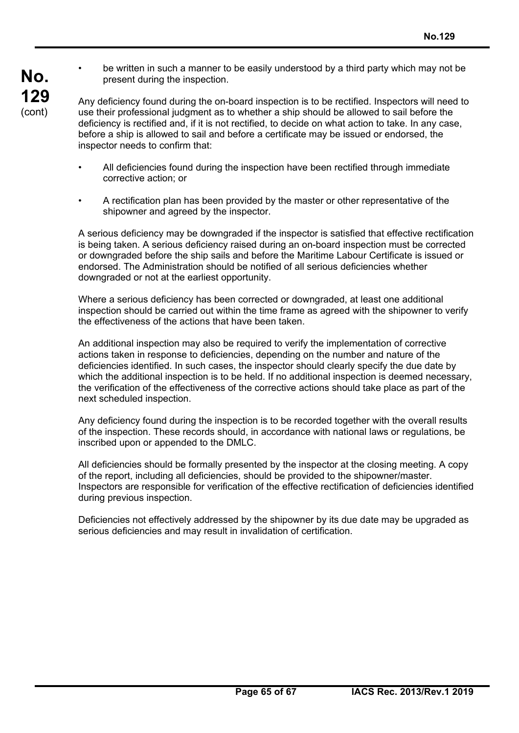• be written in such a manner to be easily understood by a third party which may not be present during the inspection.

Any deficiency found during the on-board inspection is to be rectified. Inspectors will need to use their professional judgment as to whether a ship should be allowed to sail before the deficiency is rectified and, if it is not rectified, to decide on what action to take. In any case, before a ship is allowed to sail and before a certificate may be issued or endorsed, the inspector needs to confirm that:

- All deficiencies found during the inspection have been rectified through immediate corrective action; or
- A rectification plan has been provided by the master or other representative of the shipowner and agreed by the inspector.

A serious deficiency may be downgraded if the inspector is satisfied that effective rectification is being taken. A serious deficiency raised during an on-board inspection must be corrected or downgraded before the ship sails and before the Maritime Labour Certificate is issued or endorsed. The Administration should be notified of all serious deficiencies whether downgraded or not at the earliest opportunity.

Where a serious deficiency has been corrected or downgraded, at least one additional inspection should be carried out within the time frame as agreed with the shipowner to verify the effectiveness of the actions that have been taken.

An additional inspection may also be required to verify the implementation of corrective actions taken in response to deficiencies, depending on the number and nature of the deficiencies identified. In such cases, the inspector should clearly specify the due date by which the additional inspection is to be held. If no additional inspection is deemed necessary, the verification of the effectiveness of the corrective actions should take place as part of the next scheduled inspection.

Any deficiency found during the inspection is to be recorded together with the overall results of the inspection. These records should, in accordance with national laws or regulations, be inscribed upon or appended to the DMLC.

All deficiencies should be formally presented by the inspector at the closing meeting. A copy of the report, including all deficiencies, should be provided to the shipowner/master. Inspectors are responsible for verification of the effective rectification of deficiencies identified during previous inspection.

Deficiencies not effectively addressed by the shipowner by its due date may be upgraded as serious deficiencies and may result in invalidation of certification.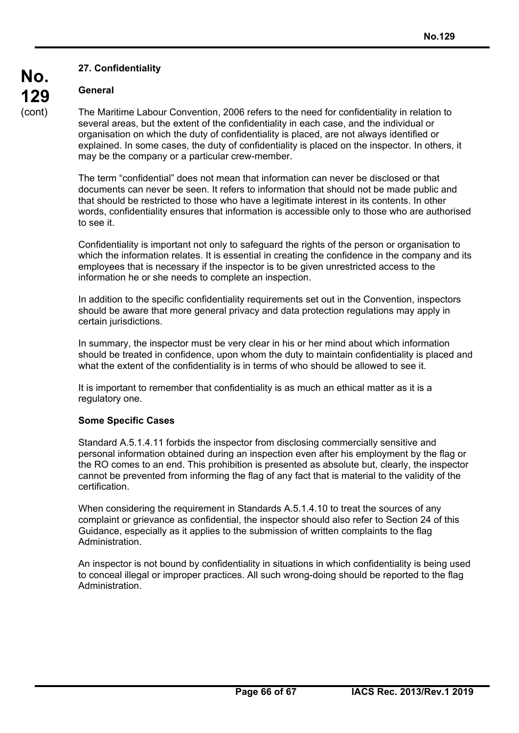# **27. Confidentiality**

## **General**

**No.** 

**129**  (cont)

The Maritime Labour Convention, 2006 refers to the need for confidentiality in relation to several areas, but the extent of the confidentiality in each case, and the individual or organisation on which the duty of confidentiality is placed, are not always identified or explained. In some cases, the duty of confidentiality is placed on the inspector. In others, it may be the company or a particular crew-member.

The term "confidential" does not mean that information can never be disclosed or that documents can never be seen. It refers to information that should not be made public and that should be restricted to those who have a legitimate interest in its contents. In other words, confidentiality ensures that information is accessible only to those who are authorised to see it.

Confidentiality is important not only to safeguard the rights of the person or organisation to which the information relates. It is essential in creating the confidence in the company and its employees that is necessary if the inspector is to be given unrestricted access to the information he or she needs to complete an inspection.

In addition to the specific confidentiality requirements set out in the Convention, inspectors should be aware that more general privacy and data protection regulations may apply in certain jurisdictions.

In summary, the inspector must be very clear in his or her mind about which information should be treated in confidence, upon whom the duty to maintain confidentiality is placed and what the extent of the confidentiality is in terms of who should be allowed to see it.

It is important to remember that confidentiality is as much an ethical matter as it is a regulatory one.

#### **Some Specific Cases**

Standard A.5.1.4.11 forbids the inspector from disclosing commercially sensitive and personal information obtained during an inspection even after his employment by the flag or the RO comes to an end. This prohibition is presented as absolute but, clearly, the inspector cannot be prevented from informing the flag of any fact that is material to the validity of the certification.

When considering the requirement in Standards A.5.1.4.10 to treat the sources of any complaint or grievance as confidential, the inspector should also refer to Section 24 of this Guidance, especially as it applies to the submission of written complaints to the flag Administration.

An inspector is not bound by confidentiality in situations in which confidentiality is being used to conceal illegal or improper practices. All such wrong-doing should be reported to the flag Administration.